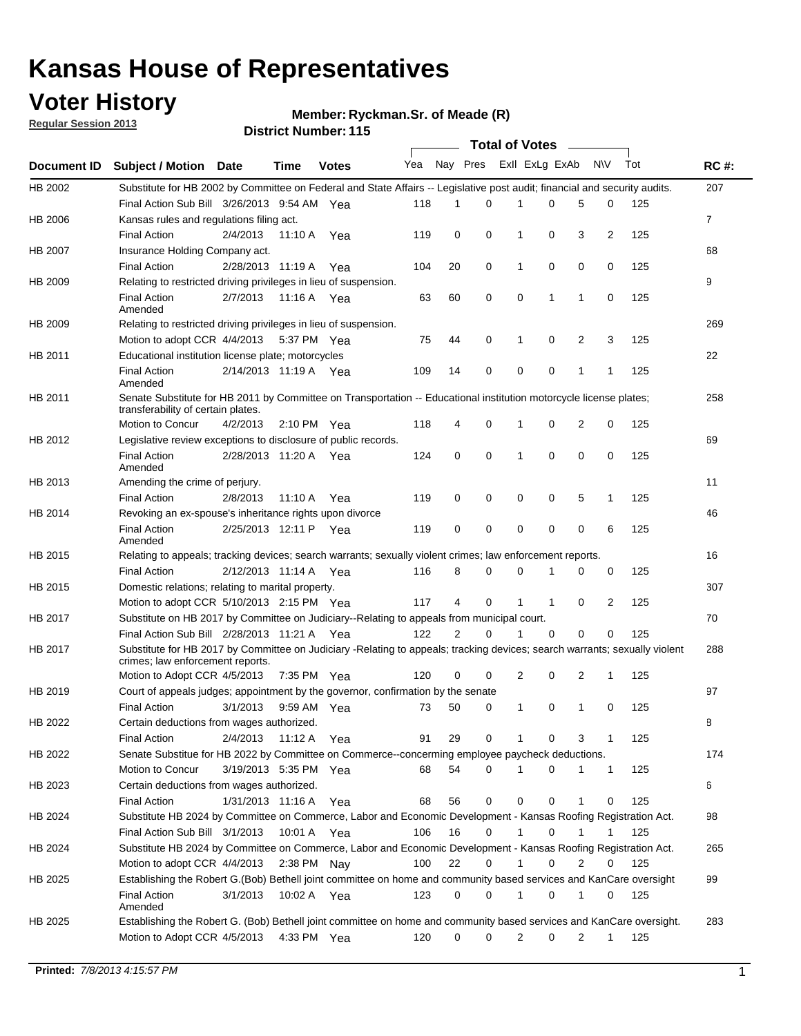## **Voter History**

**Regular Session 2013**

### **Member: Ryckman.Sr. of Meade (R)**

|             |                                                                                                                                                                |                       |               | טו הסמוווטנו שוווסו |     |                |          | Total of Votes – |              |             |                |     |             |
|-------------|----------------------------------------------------------------------------------------------------------------------------------------------------------------|-----------------------|---------------|---------------------|-----|----------------|----------|------------------|--------------|-------------|----------------|-----|-------------|
| Document ID | <b>Subject / Motion Date</b>                                                                                                                                   |                       | Time          | <b>Votes</b>        | Yea | Nay Pres       |          | Exll ExLg ExAb   |              |             | <b>NV</b>      | Tot | <b>RC#:</b> |
| HB 2002     | Substitute for HB 2002 by Committee on Federal and State Affairs -- Legislative post audit; financial and security audits.                                     |                       |               |                     |     |                |          |                  |              |             |                |     | 207         |
|             | Final Action Sub Bill 3/26/2013 9:54 AM Yea                                                                                                                    |                       |               |                     | 118 | 1              | $\Omega$ | 1                | $\Omega$     | 5           | 0              | 125 |             |
| HB 2006     | Kansas rules and regulations filing act.                                                                                                                       |                       |               |                     |     |                |          |                  |              |             |                |     | 7           |
|             | <b>Final Action</b>                                                                                                                                            | 2/4/2013              | 11:10 A Yea   |                     | 119 | 0              | 0        | 1                | 0            | 3           | $\overline{2}$ | 125 |             |
| HB 2007     | Insurance Holding Company act.                                                                                                                                 |                       |               |                     |     |                |          |                  |              |             |                |     | 68          |
|             | <b>Final Action</b>                                                                                                                                            | 2/28/2013 11:19 A     |               | Yea                 | 104 | 20             | 0        | 1                | 0            | 0           | 0              | 125 |             |
| HB 2009     | Relating to restricted driving privileges in lieu of suspension.                                                                                               |                       |               |                     |     |                |          |                  |              |             |                |     | 9           |
|             | <b>Final Action</b><br>Amended                                                                                                                                 | 2/7/2013              | 11:16 A Yea   |                     | 63  | 60             | 0        | $\mathbf 0$      | 1            | 1           | 0              | 125 |             |
| HB 2009     | Relating to restricted driving privileges in lieu of suspension.                                                                                               |                       |               |                     |     |                |          |                  |              |             |                |     | 269         |
|             | Motion to adopt CCR 4/4/2013 5:37 PM Yea                                                                                                                       |                       |               |                     | 75  | 44             | 0        | 1                | 0            | 2           | 3              | 125 |             |
| HB 2011     | Educational institution license plate; motorcycles                                                                                                             |                       |               |                     |     |                |          |                  |              |             |                |     | 22          |
|             | <b>Final Action</b><br>Amended                                                                                                                                 | 2/14/2013 11:19 A Yea |               |                     | 109 | 14             | 0        | 0                | 0            | 1           | 1              | 125 |             |
| HB 2011     | Senate Substitute for HB 2011 by Committee on Transportation -- Educational institution motorcycle license plates;                                             |                       |               |                     |     |                |          |                  |              |             |                |     | 258         |
|             | transferability of certain plates.                                                                                                                             |                       |               |                     |     |                |          |                  |              |             |                |     |             |
|             | Motion to Concur                                                                                                                                               | 4/2/2013              | 2:10 PM $Yea$ |                     | 118 | 4              | 0        | 1                | 0            | 2           | 0              | 125 |             |
| HB 2012     | Legislative review exceptions to disclosure of public records.                                                                                                 |                       |               |                     |     |                |          |                  |              |             |                |     | 69          |
|             | <b>Final Action</b><br>Amended                                                                                                                                 | 2/28/2013 11:20 A Yea |               |                     | 124 | 0              | 0        | 1                | 0            | 0           | 0              | 125 |             |
| HB 2013     | Amending the crime of perjury.                                                                                                                                 |                       |               |                     |     |                |          |                  |              |             |                |     | 11          |
|             | <b>Final Action</b>                                                                                                                                            | 2/8/2013              | 11:10 A       | Yea                 | 119 | 0              | 0        | 0                | 0            | 5           | $\mathbf{1}$   | 125 |             |
| HB 2014     | Revoking an ex-spouse's inheritance rights upon divorce                                                                                                        |                       |               |                     |     |                |          |                  |              |             |                |     | 46          |
|             | <b>Final Action</b>                                                                                                                                            | 2/25/2013 12:11 P Yea |               |                     | 119 | 0              | 0        | 0                | 0            | $\mathbf 0$ | 6              | 125 |             |
|             | Amended                                                                                                                                                        |                       |               |                     |     |                |          |                  |              |             |                |     |             |
| HB 2015     | Relating to appeals; tracking devices; search warrants; sexually violent crimes; law enforcement reports.                                                      |                       |               |                     |     |                |          |                  |              |             |                |     | 16          |
|             | <b>Final Action</b>                                                                                                                                            | 2/12/2013 11:14 A Yea |               |                     | 116 | 8              | 0        | 0                | 1            | 0           | 0              | 125 |             |
| HB 2015     | Domestic relations; relating to marital property.                                                                                                              |                       |               |                     |     |                |          |                  |              |             |                |     | 307         |
|             | Motion to adopt CCR 5/10/2013 2:15 PM Yea                                                                                                                      |                       |               |                     | 117 | 4              | 0        | 1                | $\mathbf{1}$ | 0           | 2              | 125 |             |
| HB 2017     | Substitute on HB 2017 by Committee on Judiciary--Relating to appeals from municipal court.                                                                     |                       |               |                     |     |                |          |                  |              |             |                |     | 70          |
|             | Final Action Sub Bill 2/28/2013 11:21 A Yea                                                                                                                    |                       |               |                     | 122 | $\overline{2}$ | 0        | 1                | 0            | 0           | 0              | 125 |             |
| HB 2017     | Substitute for HB 2017 by Committee on Judiciary -Relating to appeals; tracking devices; search warrants; sexually violent<br>crimes; law enforcement reports. |                       |               |                     |     |                |          |                  |              |             |                |     | 288         |
|             | Motion to Adopt CCR 4/5/2013                                                                                                                                   |                       | 7:35 PM Yea   |                     | 120 | 0              | 0        | $\overline{2}$   | 0            | 2           | $\mathbf{1}$   | 125 |             |
| HB 2019     | Court of appeals judges; appointment by the governor, confirmation by the senate                                                                               |                       |               |                     |     |                |          |                  |              |             |                |     | 97          |
|             | Final Action                                                                                                                                                   | 3/1/2013              | 9:59 AM Yea   |                     | 73  | 50             | 0        | $\mathbf{1}$     | 0            | 1           | 0              | 125 |             |
| HB 2022     | Certain deductions from wages authorized.                                                                                                                      |                       |               |                     |     |                |          |                  |              |             |                |     | 8           |
|             | <b>Final Action</b>                                                                                                                                            | 2/4/2013              | 11:12 A       | Yea                 | 91  | 29             | 0        | 1                | 0            | 3           | 1              | 125 |             |
| HB 2022     | Senate Substitue for HB 2022 by Committee on Commerce--concerming employee paycheck deductions.                                                                |                       |               |                     |     |                |          |                  |              |             |                |     | 174         |
|             | Motion to Concur                                                                                                                                               | 3/19/2013 5:35 PM Yea |               |                     | 68  | 54             | 0        | 1                | 0            | 1           | $\mathbf{1}$   | 125 |             |
| HB 2023     | Certain deductions from wages authorized.                                                                                                                      |                       |               |                     |     |                |          |                  |              |             |                |     | 6           |
|             | <b>Final Action</b>                                                                                                                                            | 1/31/2013 11:16 A Yea |               |                     | 68  | 56             | 0        | 0                | 0            | 1           | 0              | 125 |             |
| HB 2024     | Substitute HB 2024 by Committee on Commerce, Labor and Economic Development - Kansas Roofing Registration Act.                                                 |                       |               |                     |     |                |          |                  |              |             |                |     | 98          |
|             | Final Action Sub Bill 3/1/2013                                                                                                                                 |                       | 10:01 A Yea   |                     | 106 | 16             | 0        | 1                | 0            | 1           | 1              | 125 |             |
| HB 2024     | Substitute HB 2024 by Committee on Commerce, Labor and Economic Development - Kansas Roofing Registration Act.                                                 |                       |               |                     |     |                |          |                  |              |             |                |     | 265         |
|             | Motion to adopt CCR 4/4/2013                                                                                                                                   |                       | 2:38 PM Nay   |                     | 100 | 22             | 0        | 1                | 0            | 2           | 0              | 125 |             |
| HB 2025     | Establishing the Robert G.(Bob) Bethell joint committee on home and community based services and KanCare oversight                                             |                       |               |                     |     |                |          |                  |              |             |                |     | 99          |
|             | <b>Final Action</b><br>Amended                                                                                                                                 | 3/1/2013              | 10:02 A Yea   |                     | 123 | 0              | 0        | 1                | 0            | 1           | 0              | 125 |             |
| HB 2025     | Establishing the Robert G. (Bob) Bethell joint committee on home and community based services and KanCare oversight.                                           |                       |               |                     |     |                |          |                  |              |             |                |     | 283         |
|             | Motion to Adopt CCR 4/5/2013 4:33 PM Yea                                                                                                                       |                       |               |                     | 120 | 0              | 0        | $\overline{2}$   | 0            | 2           | $\mathbf{1}$   | 125 |             |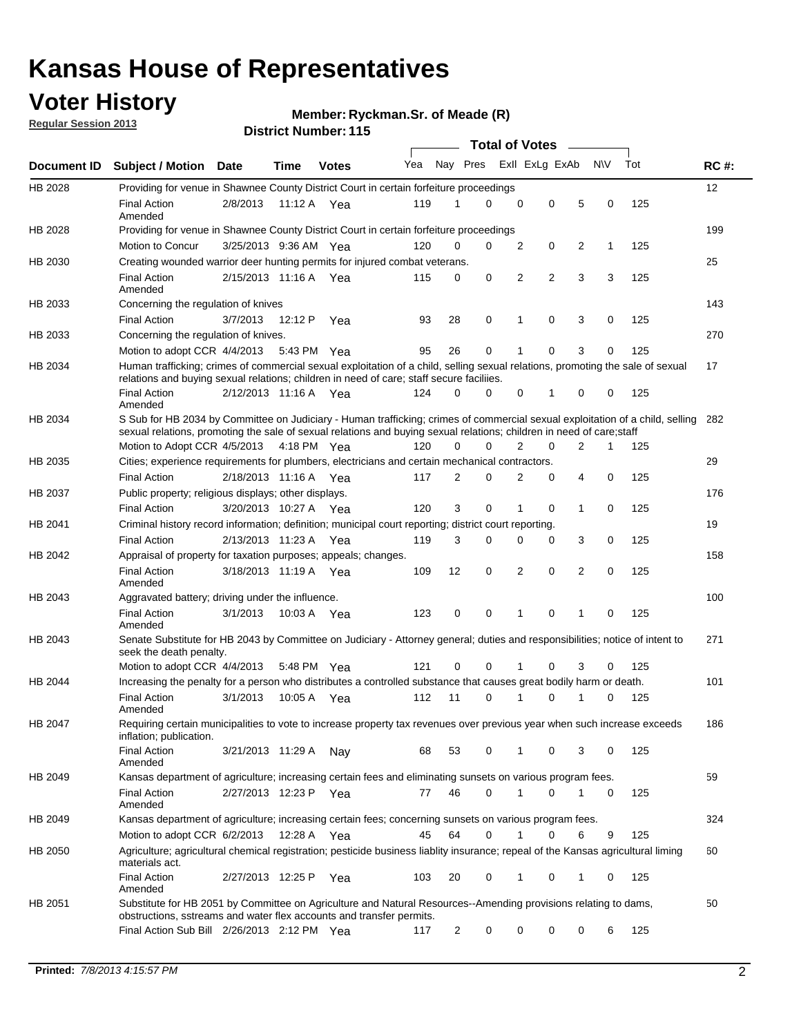## **Voter History**

**Regular Session 2013**

### **Member: Ryckman.Sr. of Meade (R)**

|                    |                                                                                                                                                                                                                                                        |                       |             |              |     |             | <b>Total of Votes</b> |                |                |   |           |     |             |
|--------------------|--------------------------------------------------------------------------------------------------------------------------------------------------------------------------------------------------------------------------------------------------------|-----------------------|-------------|--------------|-----|-------------|-----------------------|----------------|----------------|---|-----------|-----|-------------|
| <b>Document ID</b> | <b>Subject / Motion Date</b>                                                                                                                                                                                                                           |                       | Time        | <b>Votes</b> | Yea | Nay Pres    |                       |                | Exll ExLg ExAb |   | <b>NV</b> | Tot | <b>RC#:</b> |
| HB 2028            | Providing for venue in Shawnee County District Court in certain forfeiture proceedings                                                                                                                                                                 |                       |             |              |     |             |                       |                |                |   |           |     | 12          |
|                    | <b>Final Action</b><br>Amended                                                                                                                                                                                                                         | 2/8/2013              |             | 11:12 A Yea  | 119 | 1           | $\Omega$              | 0              | 0              | 5 | 0         | 125 |             |
| HB 2028            | Providing for venue in Shawnee County District Court in certain forfeiture proceedings<br>Motion to Concur                                                                                                                                             | 3/25/2013 9:36 AM Yea |             |              | 120 | 0           | 0                     | $\overline{2}$ | 0              | 2 | 1         | 125 | 199         |
| HB 2030            | Creating wounded warrior deer hunting permits for injured combat veterans.                                                                                                                                                                             |                       |             |              |     |             |                       |                |                |   |           |     | 25          |
|                    | <b>Final Action</b><br>Amended                                                                                                                                                                                                                         | 2/15/2013 11:16 A     |             | Yea          | 115 | 0           | 0                     | 2              | 2              | 3 | 3         | 125 |             |
| HB 2033            | Concerning the regulation of knives                                                                                                                                                                                                                    |                       |             |              |     |             |                       |                |                |   |           |     | 143         |
|                    | <b>Final Action</b>                                                                                                                                                                                                                                    | 3/7/2013              | 12:12 P     | Yea          | 93  | 28          | 0                     | 1              | 0              | 3 | 0         | 125 |             |
| HB 2033            | Concerning the regulation of knives.                                                                                                                                                                                                                   |                       |             |              |     |             |                       |                |                |   |           |     | 270         |
|                    | Motion to adopt CCR 4/4/2013                                                                                                                                                                                                                           |                       | 5:43 PM Yea |              | 95  | 26          | 0                     |                | 0              | 3 | 0         | 125 |             |
| HB 2034            | Human trafficking; crimes of commercial sexual exploitation of a child, selling sexual relations, promoting the sale of sexual<br>relations and buying sexual relations; children in need of care; staff secure faciliies.                             |                       |             |              |     |             |                       |                |                |   |           |     | 17          |
|                    | <b>Final Action</b><br>Amended                                                                                                                                                                                                                         | 2/12/2013 11:16 A Yea |             |              | 124 | $\Omega$    | 0                     | 0              | 1              | 0 | 0         | 125 |             |
| HB 2034            | S Sub for HB 2034 by Committee on Judiciary - Human trafficking; crimes of commercial sexual exploitation of a child, selling<br>sexual relations, promoting the sale of sexual relations and buying sexual relations; children in need of care; staff |                       |             |              |     |             |                       |                |                |   |           |     | 282         |
|                    | Motion to Adopt CCR 4/5/2013 4:18 PM Yea                                                                                                                                                                                                               |                       |             |              | 120 | $\Omega$    | 0                     | 2              | 0              | 2 | 1         | 125 |             |
| HB 2035            | Cities; experience requirements for plumbers, electricians and certain mechanical contractors.                                                                                                                                                         |                       |             |              |     |             |                       |                |                |   |           |     | 29          |
|                    | <b>Final Action</b>                                                                                                                                                                                                                                    | 2/18/2013 11:16 A     |             | Yea          | 117 | 2           | 0                     | 2              | 0              | 4 | 0         | 125 |             |
| HB 2037            | Public property; religious displays; other displays.                                                                                                                                                                                                   |                       |             |              |     |             |                       |                |                |   |           |     | 176         |
|                    | <b>Final Action</b>                                                                                                                                                                                                                                    | 3/20/2013 10:27 A     |             | Yea          | 120 | 3           | 0                     | 1              | 0              | 1 | 0         | 125 |             |
| HB 2041            | Criminal history record information; definition; municipal court reporting; district court reporting.                                                                                                                                                  |                       |             |              |     |             |                       |                |                |   |           |     | 19          |
|                    | <b>Final Action</b>                                                                                                                                                                                                                                    | 2/13/2013 11:23 A     |             | Yea          | 119 | 3           | 0                     | 0              | 0              | 3 | 0         | 125 |             |
| HB 2042            | Appraisal of property for taxation purposes; appeals; changes.                                                                                                                                                                                         |                       |             |              |     |             |                       |                |                |   |           |     | 158         |
|                    | <b>Final Action</b><br>Amended                                                                                                                                                                                                                         | 3/18/2013 11:19 A     |             | Yea          | 109 | 12          | 0                     | 2              | 0              | 2 | 0         | 125 |             |
| HB 2043            | Aggravated battery; driving under the influence.                                                                                                                                                                                                       |                       |             |              |     |             |                       |                |                |   |           |     | 100         |
|                    | <b>Final Action</b><br>Amended                                                                                                                                                                                                                         | 3/1/2013              |             | 10:03 A Yea  | 123 | $\mathbf 0$ | 0                     | 1              | 0              |   | 0         | 125 |             |
| HB 2043            | Senate Substitute for HB 2043 by Committee on Judiciary - Attorney general; duties and responsibilities; notice of intent to<br>seek the death penalty.                                                                                                |                       |             |              |     |             |                       |                |                |   |           |     | 271         |
|                    | Motion to adopt CCR 4/4/2013                                                                                                                                                                                                                           |                       |             | 5:48 PM Yea  | 121 | 0           | 0                     |                | 0              | 3 | 0         | 125 |             |
| HB 2044            | Increasing the penalty for a person who distributes a controlled substance that causes great bodily harm or death.                                                                                                                                     |                       |             |              |     |             |                       |                |                |   |           |     | 101         |
|                    | <b>Final Action</b><br>Amended                                                                                                                                                                                                                         | 3/1/2013              | 10:05 A     | Yea          | 112 | 11          | 0                     |                | 0              |   | 0         | 125 |             |
| HB 2047            | Requiring certain municipalities to vote to increase property tax revenues over previous year when such increase exceeds<br>inflation; publication.                                                                                                    |                       |             |              |     |             |                       |                |                |   |           |     | 186         |
|                    | <b>Final Action</b><br>Amended                                                                                                                                                                                                                         | 3/21/2013 11:29 A     |             | Nay          | 68  | 53          | 0                     |                | 0              | 3 | 0         | 125 |             |
| HB 2049            | Kansas department of agriculture; increasing certain fees and eliminating sunsets on various program fees.                                                                                                                                             |                       |             |              |     |             |                       |                |                |   |           |     | 59          |
|                    | Final Action<br>Amended                                                                                                                                                                                                                                | 2/27/2013 12:23 P Yea |             |              | 77  | 46          | 0                     | 1              | 0              | 1 | 0         | 125 |             |
| HB 2049            | Kansas department of agriculture; increasing certain fees; concerning sunsets on various program fees.                                                                                                                                                 |                       |             |              |     |             |                       |                |                |   |           |     | 324         |
|                    | Motion to adopt CCR 6/2/2013                                                                                                                                                                                                                           |                       | 12:28 A     | Yea          | 45  | 64          | 0                     | 1              | 0              | 6 | 9         | 125 |             |
| HB 2050            | Agriculture; agricultural chemical registration; pesticide business liablity insurance; repeal of the Kansas agricultural liming<br>materials act.                                                                                                     |                       |             |              |     |             |                       |                |                |   |           |     | 60          |
|                    | <b>Final Action</b><br>Amended                                                                                                                                                                                                                         | 2/27/2013 12:25 P     |             | Yea          | 103 | 20          | 0                     | 1              | 0              | 1 | 0         | 125 |             |
| HB 2051            | Substitute for HB 2051 by Committee on Agriculture and Natural Resources--Amending provisions relating to dams,<br>obstructions, sstreams and water flex accounts and transfer permits.                                                                |                       |             |              |     |             |                       |                |                |   |           |     | 50          |
|                    | Final Action Sub Bill 2/26/2013 2:12 PM Yea                                                                                                                                                                                                            |                       |             |              | 117 | 2           | 0                     | 0              | 0              | 0 | 6         | 125 |             |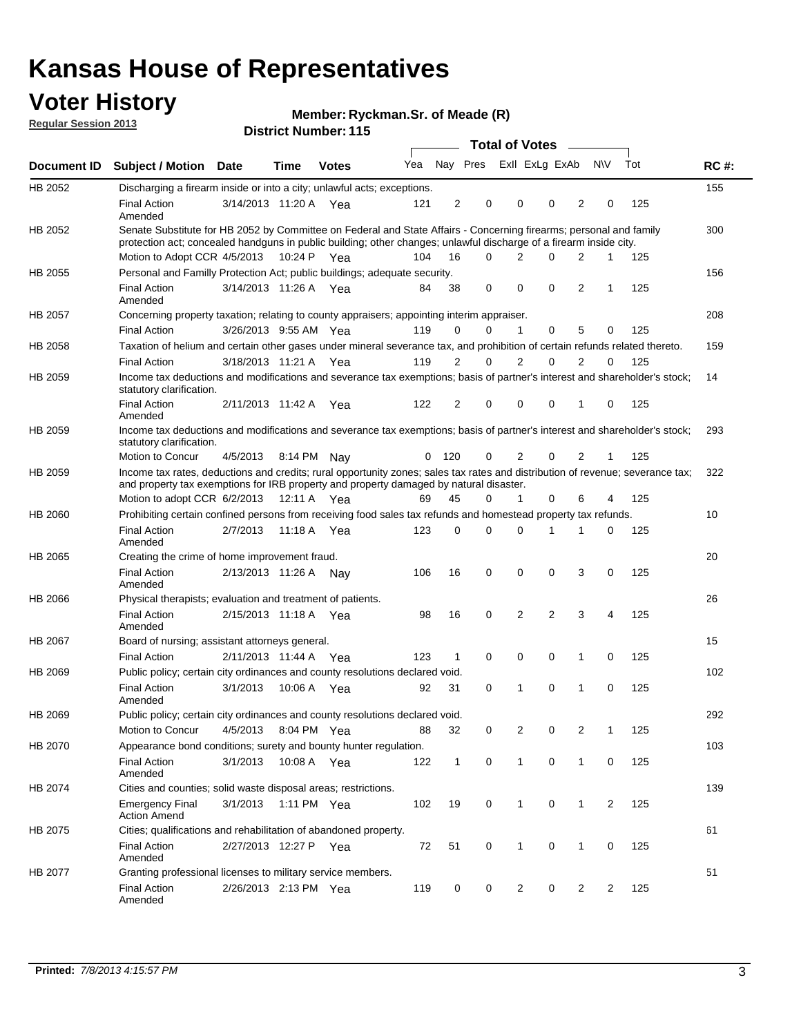## **Voter History**

**Member: Ryckman.Sr. of Meade (R)** 

**Regular Session 2013**

|             |                                                                                                                                                                                                                                          |                       |             | DISTILI MUIIIDEL I I J |     |              |          | Total of Votes – |                |                |              |     |             |
|-------------|------------------------------------------------------------------------------------------------------------------------------------------------------------------------------------------------------------------------------------------|-----------------------|-------------|------------------------|-----|--------------|----------|------------------|----------------|----------------|--------------|-----|-------------|
| Document ID | <b>Subject / Motion</b>                                                                                                                                                                                                                  | <b>Date</b>           | Time        | <b>Votes</b>           | Yea |              | Nay Pres | Exll ExLg ExAb   |                |                | <b>NV</b>    | Tot | <b>RC#:</b> |
| HB 2052     | Discharging a firearm inside or into a city; unlawful acts; exceptions.                                                                                                                                                                  |                       |             |                        |     |              |          |                  |                |                |              |     | 155         |
|             | <b>Final Action</b><br>Amended                                                                                                                                                                                                           | 3/14/2013 11:20 A Yea |             |                        | 121 | 2            | 0        | 0                | 0              | 2              | 0            | 125 |             |
| HB 2052     | Senate Substitute for HB 2052 by Committee on Federal and State Affairs - Concerning firearms; personal and family<br>protection act; concealed handguns in public building; other changes; unlawful discharge of a firearm inside city. |                       |             |                        |     |              |          |                  |                |                |              |     | 300         |
|             | Motion to Adopt CCR 4/5/2013                                                                                                                                                                                                             |                       | 10:24 P Yea |                        | 104 | 16           | 0        | 2                | 0              | 2              | 1            | 125 |             |
| HB 2055     | Personal and Familly Protection Act; public buildings; adequate security.                                                                                                                                                                |                       |             |                        |     |              |          |                  |                |                |              |     | 156         |
|             | <b>Final Action</b><br>Amended                                                                                                                                                                                                           | 3/14/2013 11:26 A Yea |             |                        | 84  | 38           | 0        | 0                | 0              | $\overline{2}$ | 1            | 125 |             |
| HB 2057     | Concerning property taxation; relating to county appraisers; appointing interim appraiser.                                                                                                                                               |                       |             |                        |     |              |          |                  |                |                |              |     | 208         |
|             | <b>Final Action</b>                                                                                                                                                                                                                      | 3/26/2013 9:55 AM Yea |             |                        | 119 | 0            | 0        | 1                | 0              | 5              | 0            | 125 |             |
| HB 2058     | Taxation of helium and certain other gases under mineral severance tax, and prohibition of certain refunds related thereto.                                                                                                              |                       |             |                        |     |              |          |                  |                |                |              |     | 159         |
|             | <b>Final Action</b>                                                                                                                                                                                                                      | 3/18/2013 11:21 A Yea |             |                        | 119 | 2            | 0        | 2                | 0              | 2              | 0            | 125 |             |
| HB 2059     | Income tax deductions and modifications and severance tax exemptions; basis of partner's interest and shareholder's stock;<br>statutory clarification.                                                                                   |                       |             |                        |     |              |          |                  |                |                |              |     | 14          |
|             | <b>Final Action</b><br>Amended                                                                                                                                                                                                           | 2/11/2013 11:42 A     |             | Yea                    | 122 | 2            | 0        | 0                | 0              | 1              | 0            | 125 |             |
| HB 2059     | Income tax deductions and modifications and severance tax exemptions; basis of partner's interest and shareholder's stock;<br>statutory clarification.                                                                                   |                       |             |                        |     |              |          |                  |                |                |              |     | 293         |
|             | Motion to Concur                                                                                                                                                                                                                         | 4/5/2013              |             | 8:14 PM Nav            | 0   | 120          | 0        | $\overline{2}$   | 0              | $\overline{2}$ | $\mathbf{1}$ | 125 |             |
| HB 2059     | Income tax rates, deductions and credits; rural opportunity zones; sales tax rates and distribution of revenue; severance tax;<br>and property tax exemptions for IRB property and property damaged by natural disaster.                 |                       |             |                        |     |              |          |                  |                |                |              |     | 322         |
|             | Motion to adopt CCR 6/2/2013                                                                                                                                                                                                             |                       |             | 12:11 A Yea            | 69  | 45           | 0        | $\mathbf{1}$     | 0              | 6              | 4            | 125 |             |
| HB 2060     | Prohibiting certain confined persons from receiving food sales tax refunds and homestead property tax refunds.                                                                                                                           |                       |             |                        |     |              |          |                  |                |                |              |     | 10          |
|             | <b>Final Action</b><br>Amended                                                                                                                                                                                                           | 2/7/2013              | 11:18 A     | Yea                    | 123 | 0            | 0        | $\Omega$         | 1              | 1              | 0            | 125 |             |
| HB 2065     | Creating the crime of home improvement fraud.                                                                                                                                                                                            |                       |             |                        |     |              |          |                  |                |                |              |     | 20          |
|             | <b>Final Action</b><br>Amended                                                                                                                                                                                                           | 2/13/2013 11:26 A     |             | Nav                    | 106 | 16           | 0        | 0                | 0              | 3              | 0            | 125 |             |
| HB 2066     | Physical therapists; evaluation and treatment of patients.                                                                                                                                                                               |                       |             |                        |     |              |          |                  |                |                |              |     | 26          |
|             | <b>Final Action</b><br>Amended                                                                                                                                                                                                           | 2/15/2013 11:18 A Yea |             |                        | 98  | 16           | 0        | 2                | $\overline{2}$ | 3              | 4            | 125 |             |
| HB 2067     | Board of nursing; assistant attorneys general.                                                                                                                                                                                           |                       |             |                        |     |              |          |                  |                |                |              |     | 15          |
|             | <b>Final Action</b>                                                                                                                                                                                                                      | 2/11/2013 11:44 A Yea |             |                        | 123 | 1            | 0        | 0                | 0              | 1              | 0            | 125 |             |
| HB 2069     | Public policy; certain city ordinances and county resolutions declared void.                                                                                                                                                             |                       |             |                        |     |              |          |                  |                |                |              |     | 102         |
|             | <b>Final Action</b><br>Amended                                                                                                                                                                                                           | 3/1/2013              | 10:06 A     | Yea                    | 92  | 31           | $\Omega$ | 1                | 0              | 1              | 0            | 125 |             |
| HB 2069     | Public policy; certain city ordinances and county resolutions declared void.                                                                                                                                                             |                       |             |                        |     |              |          |                  |                |                |              |     | 292         |
|             | Motion to Concur                                                                                                                                                                                                                         | 4/5/2013              |             | 8:04 PM Yea            | 88  | 32           | 0        | 2                | 0              | 2              | 1            | 125 |             |
| HB 2070     | Appearance bond conditions; surety and bounty hunter regulation.                                                                                                                                                                         |                       |             |                        |     |              |          |                  |                |                |              |     | 103         |
|             | <b>Final Action</b><br>Amended                                                                                                                                                                                                           | 3/1/2013              |             | 10:08 A Yea            | 122 | $\mathbf{1}$ | 0        | $\mathbf{1}$     | 0              | $\mathbf{1}$   | 0            | 125 |             |
| HB 2074     | Cities and counties; solid waste disposal areas; restrictions.                                                                                                                                                                           |                       |             |                        |     |              |          |                  |                |                |              |     | 139         |
|             | <b>Emergency Final</b><br><b>Action Amend</b>                                                                                                                                                                                            | 3/1/2013              |             | 1:11 PM Yea            | 102 | 19           | 0        | $\mathbf{1}$     | 0              | $\mathbf{1}$   | 2            | 125 |             |
| HB 2075     | Cities; qualifications and rehabilitation of abandoned property.                                                                                                                                                                         |                       |             |                        |     |              |          |                  |                |                |              |     | 61          |
|             | <b>Final Action</b><br>Amended                                                                                                                                                                                                           | 2/27/2013 12:27 P Yea |             |                        | 72  | 51           | 0        | 1                | 0              | 1              | 0            | 125 |             |
| HB 2077     | Granting professional licenses to military service members.<br>Final Action<br>Amended                                                                                                                                                   | 2/26/2013 2:13 PM Yea |             |                        | 119 | 0            | 0        | 2                | 0              | 2              | 2            | 125 | 51          |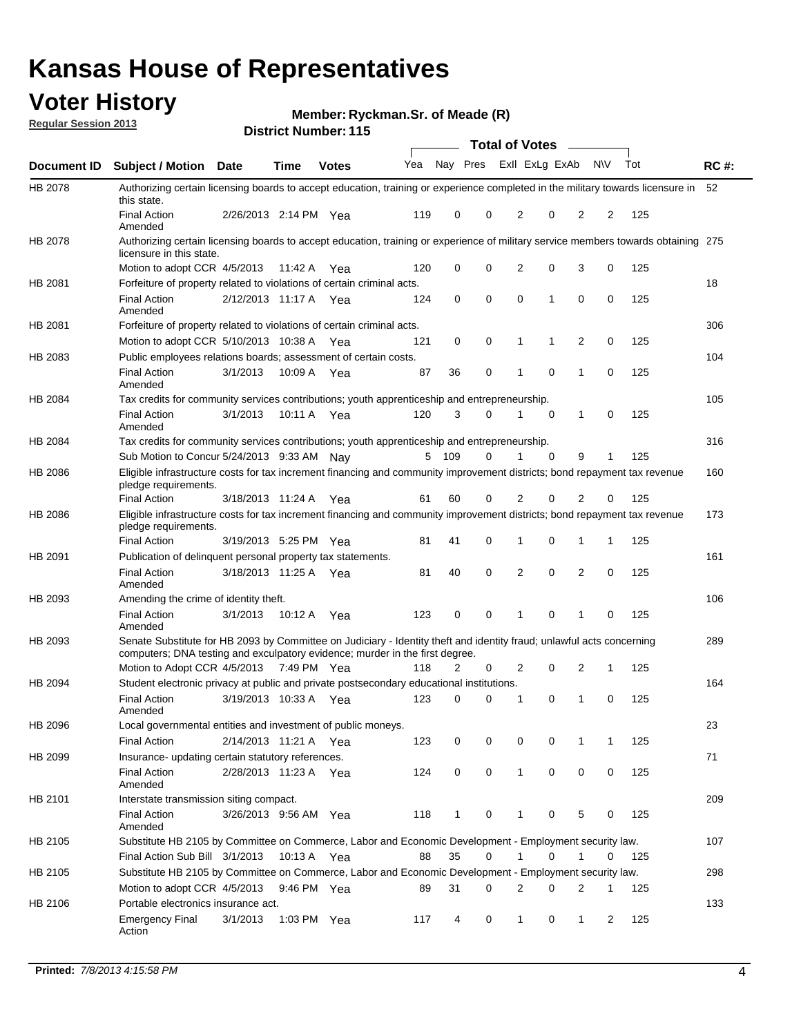## **Voter History**

**Member: Ryckman.Sr. of Meade (R)** 

**Regular Session 2013**

|             |                                                                                                                                                                                                       |                       |         | <b>DISTRICT MAILINGL.</b> ITS |     |              |   | Total of Votes – |          |                |             |     |             |
|-------------|-------------------------------------------------------------------------------------------------------------------------------------------------------------------------------------------------------|-----------------------|---------|-------------------------------|-----|--------------|---|------------------|----------|----------------|-------------|-----|-------------|
| Document ID | <b>Subject / Motion Date</b>                                                                                                                                                                          |                       | Time    | <b>Votes</b>                  | Yea | Nay Pres     |   | Exll ExLg ExAb   |          |                | <b>NV</b>   | Tot | <b>RC#:</b> |
| HB 2078     | Authorizing certain licensing boards to accept education, training or experience completed in the military towards licensure in<br>this state.                                                        |                       |         |                               |     |              |   |                  |          |                |             |     | 52          |
|             | <b>Final Action</b><br>Amended                                                                                                                                                                        | 2/26/2013 2:14 PM Yea |         |                               | 119 | 0            | 0 | 2                | 0        | 2              | 2           | 125 |             |
| HB 2078     | Authorizing certain licensing boards to accept education, training or experience of military service members towards obtaining 275<br>licensure in this state.                                        |                       |         |                               |     |              |   |                  |          |                |             |     |             |
|             | Motion to adopt CCR 4/5/2013                                                                                                                                                                          |                       | 11:42 A | Yea                           | 120 | 0            | 0 | $\overline{2}$   | 0        | 3              | 0           | 125 |             |
| HB 2081     | Forfeiture of property related to violations of certain criminal acts.                                                                                                                                |                       |         |                               |     |              |   |                  |          |                |             |     | 18          |
|             | <b>Final Action</b><br>Amended                                                                                                                                                                        | 2/12/2013 11:17 A Yea |         |                               | 124 | 0            | 0 | 0                | 1        | 0              | 0           | 125 |             |
| HB 2081     | Forfeiture of property related to violations of certain criminal acts.                                                                                                                                |                       |         |                               |     |              |   |                  |          |                |             |     | 306         |
|             | Motion to adopt CCR 5/10/2013 10:38 A                                                                                                                                                                 |                       |         | Yea                           | 121 | 0            | 0 | 1                | 1        | 2              | 0           | 125 |             |
| HB 2083     | Public employees relations boards; assessment of certain costs.                                                                                                                                       |                       |         |                               |     |              |   |                  |          |                |             |     | 104         |
|             | <b>Final Action</b><br>Amended                                                                                                                                                                        | 3/1/2013              | 10:09 A | Yea                           | 87  | 36           | 0 | 1                | 0        | 1              | $\mathbf 0$ | 125 |             |
| HB 2084     | Tax credits for community services contributions; youth apprenticeship and entrepreneurship.                                                                                                          |                       |         |                               |     |              |   |                  |          |                |             |     | 105         |
|             | <b>Final Action</b><br>Amended                                                                                                                                                                        | 3/1/2013              | 10:11 A | Yea                           | 120 | 3            | 0 | 1                | 0        | 1              | 0           | 125 |             |
| HB 2084     | Tax credits for community services contributions; youth apprenticeship and entrepreneurship.                                                                                                          |                       |         |                               |     |              |   |                  |          |                |             |     | 316         |
|             | Sub Motion to Concur 5/24/2013 9:33 AM Nav                                                                                                                                                            |                       |         |                               | 5   | 109          | 0 |                  | $\Omega$ | 9              | 1           | 125 |             |
| HB 2086     | Eligible infrastructure costs for tax increment financing and community improvement districts; bond repayment tax revenue<br>pledge requirements.                                                     |                       |         |                               |     |              |   |                  |          |                |             |     | 160         |
|             | <b>Final Action</b>                                                                                                                                                                                   | 3/18/2013 11:24 A     |         | Yea                           | 61  | 60           | 0 | 2                | 0        | $\overline{2}$ | 0           | 125 |             |
| HB 2086     | Eligible infrastructure costs for tax increment financing and community improvement districts; bond repayment tax revenue<br>pledge requirements.                                                     |                       |         |                               |     |              |   |                  |          |                |             |     | 173         |
|             | <b>Final Action</b>                                                                                                                                                                                   | 3/19/2013 5:25 PM     |         | Yea                           | 81  | 41           | 0 | 1                | 0        | 1              | 1           | 125 |             |
| HB 2091     | Publication of delinguent personal property tax statements.                                                                                                                                           |                       |         |                               |     |              |   |                  |          |                |             |     | 161         |
|             | <b>Final Action</b><br>Amended                                                                                                                                                                        | 3/18/2013 11:25 A     |         | Yea                           | 81  | 40           | 0 | $\overline{2}$   | 0        | $\overline{2}$ | 0           | 125 |             |
| HB 2093     | Amending the crime of identity theft.                                                                                                                                                                 |                       |         |                               |     |              |   |                  |          |                |             |     | 106         |
|             | <b>Final Action</b><br>Amended                                                                                                                                                                        | 3/1/2013              | 10:12 A | Yea                           | 123 | 0            | 0 |                  | 0        | 1              | 0           | 125 |             |
| HB 2093     | Senate Substitute for HB 2093 by Committee on Judiciary - Identity theft and identity fraud; unlawful acts concerning<br>computers; DNA testing and exculpatory evidence; murder in the first degree. |                       |         |                               |     |              |   |                  |          |                |             |     | 289         |
|             | Motion to Adopt CCR 4/5/2013 7:49 PM Yea                                                                                                                                                              |                       |         |                               | 118 | 2            | 0 | 2                | 0        | 2              | 1           | 125 |             |
| HB 2094     | Student electronic privacy at public and private postsecondary educational institutions.                                                                                                              |                       |         |                               |     |              |   |                  |          |                |             |     | 164         |
|             | <b>Final Action</b><br>Amended                                                                                                                                                                        | 3/19/2013 10:33 A     |         | Yea                           | 123 | 0            | 0 | 1                | 0        | 1              | 0           | 125 |             |
| HB 2096     | Local governmental entities and investment of public moneys.<br><b>Final Action</b>                                                                                                                   | 2/14/2013 11:21 A     |         | Yea                           | 123 | 0            | 0 | 0                | 0        | 1              | 1           | 125 | 23          |
| HB 2099     | Insurance- updating certain statutory references.                                                                                                                                                     |                       |         |                               |     |              |   |                  |          |                |             |     | 71          |
|             | <b>Final Action</b><br>Amended                                                                                                                                                                        | 2/28/2013 11:23 A     |         | Yea                           | 124 | $\mathbf 0$  | 0 | $\mathbf{1}$     | 0        | 0              | 0           | 125 |             |
| HB 2101     | Interstate transmission siting compact.                                                                                                                                                               |                       |         |                               |     |              |   |                  |          |                |             |     | 209         |
|             | Final Action<br>Amended                                                                                                                                                                               | 3/26/2013 9:56 AM Yea |         |                               | 118 | $\mathbf{1}$ | 0 | 1                | 0        | 5              | 0           | 125 |             |
| HB 2105     | Substitute HB 2105 by Committee on Commerce, Labor and Economic Development - Employment security law.                                                                                                |                       |         |                               |     |              |   |                  |          |                |             |     | 107         |
|             | Final Action Sub Bill 3/1/2013                                                                                                                                                                        |                       |         | 10:13 A Yea                   | 88  | 35           | 0 | 1                | 0        | 1              | 0           | 125 |             |
| HB 2105     | Substitute HB 2105 by Committee on Commerce, Labor and Economic Development - Employment security law.                                                                                                |                       |         |                               |     |              |   |                  |          |                |             |     | 298         |
|             | Motion to adopt CCR 4/5/2013                                                                                                                                                                          |                       |         | 9:46 PM Yea                   | 89  | 31           | 0 | 2                | 0        | 2              | 1           | 125 |             |
| HB 2106     | Portable electronics insurance act.                                                                                                                                                                   |                       |         |                               |     |              |   |                  |          |                |             |     | 133         |
|             | <b>Emergency Final</b><br>Action                                                                                                                                                                      | 3/1/2013              |         | 1:03 PM Yea                   | 117 | 4            | 0 | $\mathbf{1}$     | 0        | 1              | 2           | 125 |             |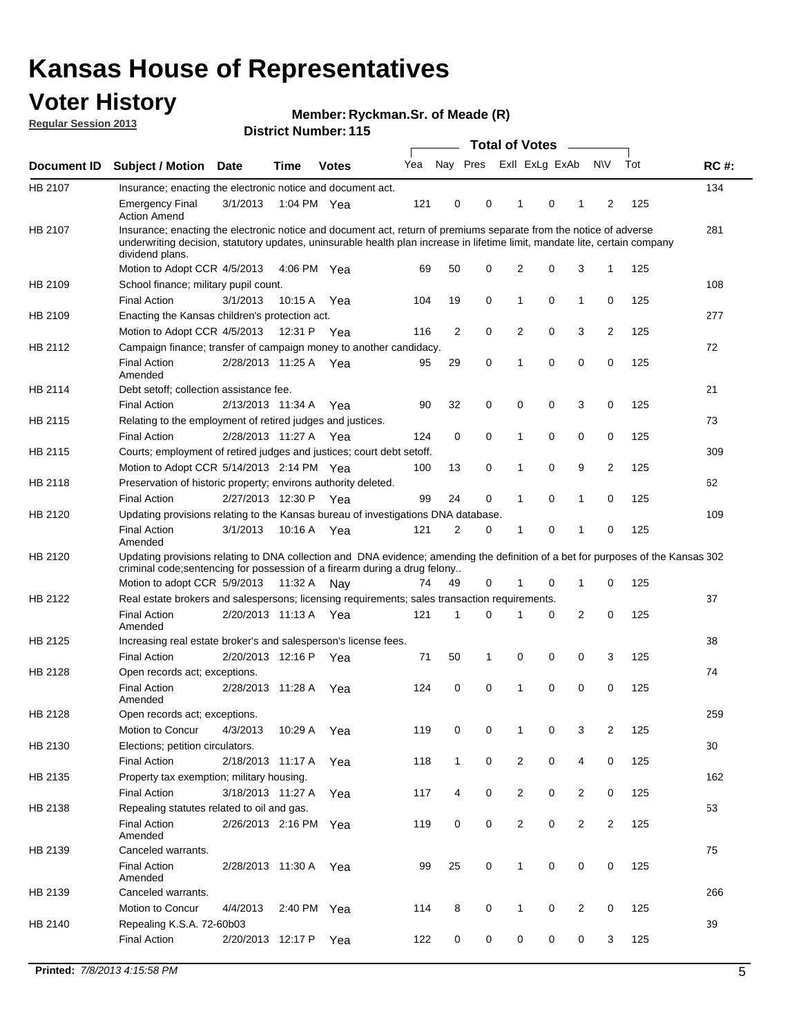## **Voter History**

**Member: Ryckman.Sr. of Meade (R)** 

**Regular Session 2013**

|             |                                                                                                                                                                                                                                                                      |                       |             |              |     |              | <b>Total of Votes</b>   |                |   | $\overline{\phantom{a}}$ |                |     |             |
|-------------|----------------------------------------------------------------------------------------------------------------------------------------------------------------------------------------------------------------------------------------------------------------------|-----------------------|-------------|--------------|-----|--------------|-------------------------|----------------|---|--------------------------|----------------|-----|-------------|
| Document ID | <b>Subject / Motion</b>                                                                                                                                                                                                                                              | Date                  | <b>Time</b> | <b>Votes</b> | Yea |              | Nay Pres Exll ExLg ExAb |                |   |                          | <b>NV</b>      | Tot | <b>RC#:</b> |
| HB 2107     | Insurance; enacting the electronic notice and document act.                                                                                                                                                                                                          |                       |             |              |     |              |                         |                |   |                          |                |     | 134         |
|             | <b>Emergency Final</b><br><b>Action Amend</b>                                                                                                                                                                                                                        | 3/1/2013              | 1:04 PM Yea |              | 121 | 0            | 0                       | 1              | 0 | 1                        | 2              | 125 |             |
| HB 2107     | Insurance; enacting the electronic notice and document act, return of premiums separate from the notice of adverse<br>underwriting decision, statutory updates, uninsurable health plan increase in lifetime limit, mandate lite, certain company<br>dividend plans. |                       |             |              |     |              |                         |                |   |                          |                |     | 281         |
|             | Motion to Adopt CCR 4/5/2013                                                                                                                                                                                                                                         |                       | 4:06 PM Yea |              | 69  | 50           | 0                       | $\overline{2}$ | 0 | 3                        | 1              | 125 |             |
| HB 2109     | School finance; military pupil count.                                                                                                                                                                                                                                |                       |             |              |     |              |                         |                |   |                          |                |     | 108         |
|             | <b>Final Action</b>                                                                                                                                                                                                                                                  | 3/1/2013              | 10:15 A     | Yea          | 104 | 19           | 0                       | 1              | 0 | $\mathbf{1}$             | 0              | 125 |             |
| HB 2109     | Enacting the Kansas children's protection act.                                                                                                                                                                                                                       |                       |             |              |     |              |                         |                |   |                          |                |     | 277         |
|             | Motion to Adopt CCR 4/5/2013                                                                                                                                                                                                                                         |                       | 12:31 P Yea |              | 116 | 2            | 0                       | 2              | 0 | 3                        | 2              | 125 |             |
| HB 2112     | Campaign finance; transfer of campaign money to another candidacy.                                                                                                                                                                                                   |                       |             |              |     |              |                         |                |   |                          |                |     | 72          |
|             | <b>Final Action</b><br>Amended                                                                                                                                                                                                                                       | 2/28/2013 11:25 A Yea |             |              | 95  | 29           | 0                       | 1              | 0 | 0                        | 0              | 125 |             |
| HB 2114     | Debt setoff; collection assistance fee.                                                                                                                                                                                                                              |                       |             |              |     |              |                         |                |   |                          |                |     | 21          |
|             | <b>Final Action</b>                                                                                                                                                                                                                                                  | 2/13/2013 11:34 A     |             | Yea          | 90  | 32           | 0                       | 0              | 0 | 3                        | 0              | 125 |             |
| HB 2115     | Relating to the employment of retired judges and justices.                                                                                                                                                                                                           |                       |             |              |     |              |                         |                |   |                          |                |     | 73          |
|             | <b>Final Action</b>                                                                                                                                                                                                                                                  | 2/28/2013 11:27 A     |             | Yea          | 124 | 0            | 0                       | 1              | 0 | 0                        | 0              | 125 |             |
| HB 2115     | Courts; employment of retired judges and justices; court debt setoff.                                                                                                                                                                                                |                       |             |              |     |              |                         |                |   |                          |                |     | 309         |
|             | Motion to Adopt CCR 5/14/2013 2:14 PM Yea                                                                                                                                                                                                                            |                       |             |              | 100 | 13           | 0                       | 1              | 0 | 9                        | 2              | 125 |             |
| HB 2118     | Preservation of historic property; environs authority deleted.                                                                                                                                                                                                       |                       |             |              |     |              |                         |                |   |                          |                |     | 62          |
|             | <b>Final Action</b>                                                                                                                                                                                                                                                  | 2/27/2013 12:30 P     |             | Yea          | 99  | 24           | 0                       |                | 0 | 1                        | 0              | 125 |             |
| HB 2120     | Updating provisions relating to the Kansas bureau of investigations DNA database.                                                                                                                                                                                    |                       |             |              |     |              |                         |                |   |                          |                |     | 109         |
|             | <b>Final Action</b><br>Amended                                                                                                                                                                                                                                       | 3/1/2013              | 10:16 A     | Yea          | 121 | 2            | 0                       | 1              | 0 | 1                        | 0              | 125 |             |
| HB 2120     | Updating provisions relating to DNA collection and DNA evidence; amending the definition of a bet for purposes of the Kansas 302                                                                                                                                     |                       |             |              |     |              |                         |                |   |                          |                |     |             |
|             | criminal code; sentencing for possession of a firearm during a drug felony                                                                                                                                                                                           |                       |             |              |     |              |                         |                |   |                          |                |     |             |
|             | Motion to adopt CCR 5/9/2013                                                                                                                                                                                                                                         |                       | 11:32 A Nay |              | 74  | 49           | 0                       |                | 0 | 1                        | 0              | 125 |             |
| HB 2122     | Real estate brokers and salespersons; licensing requirements; sales transaction requirements.                                                                                                                                                                        |                       |             |              |     |              |                         |                |   |                          |                |     | 37          |
|             | <b>Final Action</b><br>Amended                                                                                                                                                                                                                                       | 2/20/2013 11:13 A Yea |             |              | 121 | 1            | 0                       |                | 0 | 2                        | 0              | 125 |             |
| HB 2125     | Increasing real estate broker's and salesperson's license fees.                                                                                                                                                                                                      |                       |             |              |     |              |                         |                |   |                          |                |     | 38          |
|             | <b>Final Action</b>                                                                                                                                                                                                                                                  | 2/20/2013 12:16 P     |             | Yea          | 71  | 50           | 1                       | 0              | 0 | 0                        | 3              | 125 |             |
| HB 2128     | Open records act; exceptions.                                                                                                                                                                                                                                        |                       |             |              |     |              |                         |                |   |                          |                |     | 74          |
|             | <b>Final Action</b><br>Amended                                                                                                                                                                                                                                       | 2/28/2013 11:28 A     |             | Yea          | 124 | 0            | 0                       | 1              | 0 | 0                        | 0              | 125 |             |
| HB 2128     | Open records act; exceptions.                                                                                                                                                                                                                                        |                       |             |              |     |              |                         |                |   |                          |                |     | 259         |
|             | Motion to Concur                                                                                                                                                                                                                                                     | 4/3/2013              | 10:29 A     | Yea          | 119 | 0            | 0                       |                | 0 | 3                        | $\overline{2}$ | 125 |             |
| HB 2130     | Elections; petition circulators.                                                                                                                                                                                                                                     |                       |             |              |     |              |                         |                |   |                          |                |     | 30          |
|             | <b>Final Action</b>                                                                                                                                                                                                                                                  | 2/18/2013 11:17 A     |             | Yea          | 118 | $\mathbf{1}$ | 0                       | $\overline{2}$ | 0 | 4                        | 0              | 125 |             |
| HB 2135     | Property tax exemption; military housing.                                                                                                                                                                                                                            |                       |             |              |     |              |                         |                |   |                          |                |     | 162         |
|             | <b>Final Action</b>                                                                                                                                                                                                                                                  | 3/18/2013 11:27 A     |             | Yea          | 117 | 4            | 0                       | $\overline{c}$ | 0 | $\overline{2}$           | 0              | 125 |             |
| HB 2138     | Repealing statutes related to oil and gas.                                                                                                                                                                                                                           |                       |             |              |     |              |                         |                |   |                          |                |     | 53          |
|             | <b>Final Action</b>                                                                                                                                                                                                                                                  | 2/26/2013 2:16 PM Yea |             |              | 119 | 0            | 0                       | $\overline{2}$ | 0 | $\overline{2}$           | 2              | 125 |             |
|             | Amended                                                                                                                                                                                                                                                              |                       |             |              |     |              |                         |                |   |                          |                |     |             |
| HB 2139     | Canceled warrants.                                                                                                                                                                                                                                                   |                       |             |              |     |              |                         |                |   |                          |                |     | 75          |
|             | <b>Final Action</b><br>Amended                                                                                                                                                                                                                                       | 2/28/2013 11:30 A Yea |             |              | 99  | 25           | 0                       | $\mathbf{1}$   | 0 | 0                        | 0              | 125 |             |
| HB 2139     | Canceled warrants.                                                                                                                                                                                                                                                   |                       |             |              |     |              |                         |                |   |                          |                |     | 266         |
|             | Motion to Concur                                                                                                                                                                                                                                                     | 4/4/2013              | 2:40 PM Yea |              | 114 | 8            | 0                       | 1              | 0 | 2                        | 0              | 125 |             |
| HB 2140     | Repealing K.S.A. 72-60b03                                                                                                                                                                                                                                            |                       |             |              |     |              |                         |                |   |                          |                |     | 39          |
|             | <b>Final Action</b>                                                                                                                                                                                                                                                  | 2/20/2013 12:17 P     |             | Yea          | 122 | 0            | 0                       | 0              | 0 | 0                        | 3              | 125 |             |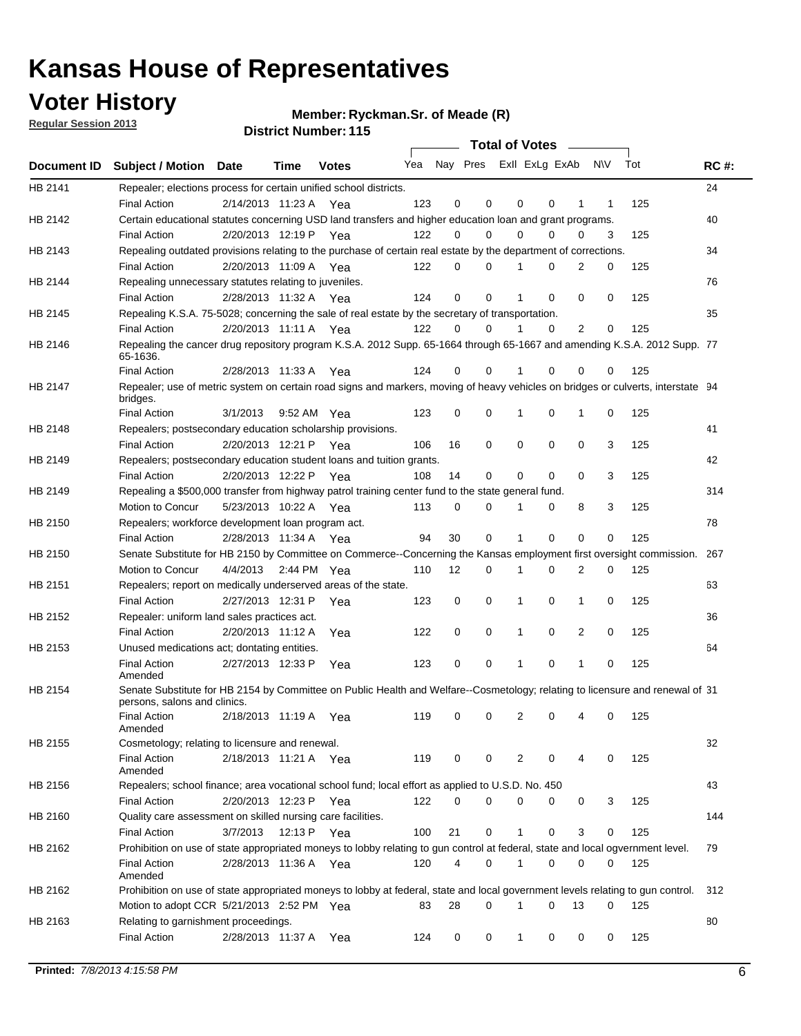## **Voter History**

**Member: Ryckman.Sr. of Meade (R)** 

**Regular Session 2013**

|                |                                                                                                                                              |          |                       |              |                             |    | <b>Total of Votes</b> |              |          | $\sim$   |     |     |             |
|----------------|----------------------------------------------------------------------------------------------------------------------------------------------|----------|-----------------------|--------------|-----------------------------|----|-----------------------|--------------|----------|----------|-----|-----|-------------|
|                | Document ID Subject / Motion Date                                                                                                            |          | Time                  | <b>Votes</b> | Yea Nay Pres ExII ExLg ExAb |    |                       |              |          |          | N\V | Tot | <b>RC#:</b> |
| HB 2141        | Repealer; elections process for certain unified school districts.                                                                            |          |                       |              |                             |    |                       |              |          |          |     |     | 24          |
|                | <b>Final Action</b>                                                                                                                          |          | 2/14/2013 11:23 A     | Yea          | 123                         | 0  | 0                     | 0            | 0        | 1        | 1   | 125 |             |
| HB 2142        | Certain educational statutes concerning USD land transfers and higher education loan and grant programs.                                     |          |                       |              |                             |    |                       |              |          |          |     |     | 40          |
|                | <b>Final Action</b>                                                                                                                          |          | 2/20/2013 12:19 P     | Yea          | 122                         | 0  | 0                     | 0            | 0        | 0        | 3   | 125 |             |
| HB 2143        | Repealing outdated provisions relating to the purchase of certain real estate by the department of corrections.                              |          |                       |              |                             |    |                       |              |          |          |     |     | 34          |
|                | <b>Final Action</b>                                                                                                                          |          | 2/20/2013 11:09 A Yea |              | 122                         | 0  | 0                     |              | 0        | 2        | 0   | 125 |             |
| HB 2144        | Repealing unnecessary statutes relating to juveniles.                                                                                        |          |                       |              |                             |    |                       |              |          |          |     |     | 76          |
|                | <b>Final Action</b>                                                                                                                          |          | 2/28/2013 11:32 A Yea |              | 124                         | 0  | 0                     |              | 0        | 0        | 0   | 125 |             |
| <b>HB 2145</b> | Repealing K.S.A. 75-5028; concerning the sale of real estate by the secretary of transportation.                                             |          |                       |              |                             |    |                       |              |          |          |     |     | 35          |
|                | <b>Final Action</b>                                                                                                                          |          | 2/20/2013 11:11 A Yea |              | 122                         | 0  | 0                     |              | 0        | 2        | 0   | 125 |             |
| HB 2146        | Repealing the cancer drug repository program K.S.A. 2012 Supp. 65-1664 through 65-1667 and amending K.S.A. 2012 Supp. 77<br>65-1636.         |          |                       |              |                             |    |                       |              |          |          |     |     |             |
|                | <b>Final Action</b>                                                                                                                          |          | 2/28/2013 11:33 A     | Yea          | 124                         | 0  | 0                     |              | 0        | 0        | 0   | 125 |             |
| HB 2147        | Repealer; use of metric system on certain road signs and markers, moving of heavy vehicles on bridges or culverts, interstate 94<br>bridges. |          |                       |              |                             |    |                       |              |          |          |     |     |             |
|                | <b>Final Action</b>                                                                                                                          | 3/1/2013 |                       | 9:52 AM Yea  | 123                         | 0  | 0                     | 1            | 0        | 1        | 0   | 125 |             |
| HB 2148        | Repealers; postsecondary education scholarship provisions.                                                                                   |          |                       |              |                             |    |                       |              |          |          |     |     | 41          |
|                | <b>Final Action</b>                                                                                                                          |          | 2/20/2013 12:21 P     | Yea          | 106                         | 16 | 0                     | 0            | 0        | 0        | 3   | 125 |             |
| HB 2149        | Repealers; postsecondary education student loans and tuition grants.                                                                         |          |                       |              |                             |    |                       |              |          |          |     |     | 42          |
|                | <b>Final Action</b>                                                                                                                          |          | 2/20/2013 12:22 P     | Yea          | 108                         | 14 | 0                     | 0            | 0        | $\Omega$ | 3   | 125 |             |
| HB 2149        | Repealing a \$500,000 transfer from highway patrol training center fund to the state general fund.                                           |          |                       |              |                             |    |                       |              |          |          |     |     | 314         |
|                | Motion to Concur                                                                                                                             |          | 5/23/2013 10:22 A Yea |              | 113                         | 0  | 0                     |              | 0        | 8        | 3   | 125 |             |
| HB 2150        | Repealers; workforce development loan program act.                                                                                           |          |                       |              |                             |    |                       |              |          |          |     |     | 78          |
|                | <b>Final Action</b>                                                                                                                          |          | 2/28/2013 11:34 A Yea |              | 94                          | 30 | 0                     | 1            | 0        | 0        | 0   | 125 |             |
| HB 2150        | Senate Substitute for HB 2150 by Committee on Commerce--Concerning the Kansas employment first oversight commission.                         |          |                       |              |                             |    |                       |              |          |          |     |     | 267         |
|                | Motion to Concur                                                                                                                             | 4/4/2013 |                       | 2:44 PM Yea  | 110                         | 12 | 0                     | 1            | 0        | 2        | 0   | 125 |             |
| HB 2151        | Repealers; report on medically underserved areas of the state.                                                                               |          |                       |              |                             |    |                       |              |          |          |     |     | 63          |
|                | <b>Final Action</b>                                                                                                                          |          | 2/27/2013 12:31 P     | Yea          | 123                         | 0  | 0                     | 1            | 0        | 1        | 0   | 125 |             |
| HB 2152        | Repealer: uniform land sales practices act.                                                                                                  |          |                       |              |                             |    |                       |              |          |          |     |     | 36          |
|                | <b>Final Action</b>                                                                                                                          |          | 2/20/2013 11:12 A     | Yea          | 122                         | 0  | 0                     | 1            | 0        | 2        | 0   | 125 |             |
| HB 2153        | Unused medications act; dontating entities.                                                                                                  |          |                       |              |                             |    |                       |              |          |          |     |     | 64          |
|                | <b>Final Action</b><br>Amended                                                                                                               |          | 2/27/2013 12:33 P     | Yea          | 123                         | 0  | 0                     |              | 0        | 1        | 0   | 125 |             |
| HB 2154        | Senate Substitute for HB 2154 by Committee on Public Health and Welfare--Cosmetology; relating to licensure and renewal of 31                |          |                       |              |                             |    |                       |              |          |          |     |     |             |
|                | persons, salons and clinics.<br><b>Final Action</b><br>Amended                                                                               |          | 2/18/2013 11:19 A     | Yea          | 119                         | 0  | 0                     | 2            | 0        |          | 0   | 125 |             |
| HB 2155        | Cosmetology; relating to licensure and renewal.                                                                                              |          |                       |              |                             |    |                       |              |          |          |     |     | 32          |
|                | <b>Final Action</b><br>Amended                                                                                                               |          | 2/18/2013 11:21 A Yea |              | 119                         | 0  | 0                     | 2            | 0        | 4        | 0   | 125 |             |
| HB 2156        | Repealers; school finance; area vocational school fund; local effort as applied to U.S.D. No. 450                                            |          |                       |              |                             |    |                       |              |          |          |     |     | 43          |
|                | <b>Final Action</b>                                                                                                                          |          | 2/20/2013 12:23 P     | Yea          | 122                         | 0  | 0                     | 0            | 0        | 0        | 3   | 125 |             |
| HB 2160        | Quality care assessment on skilled nursing care facilities.                                                                                  |          |                       |              |                             |    |                       |              |          |          |     |     | 144         |
|                | <b>Final Action</b>                                                                                                                          | 3/7/2013 | 12:13 P               | Yea          | 100                         | 21 | 0                     | $\mathbf{1}$ | 0        | 3        | 0   | 125 |             |
| HB 2162        | Prohibition on use of state appropriated moneys to lobby relating to gun control at federal, state and local ogvernment level.               |          |                       |              |                             |    |                       |              |          |          |     |     | 79          |
|                | <b>Final Action</b><br>Amended                                                                                                               |          | 2/28/2013 11:36 A Yea |              | 120                         | 4  | 0                     | 1            | 0        | 0        | 0   | 125 |             |
| HB 2162        | Prohibition on use of state appropriated moneys to lobby at federal, state and local government levels relating to gun control.              |          |                       |              |                             |    |                       |              |          |          |     |     | 312         |
|                | Motion to adopt CCR 5/21/2013 2:52 PM Yea                                                                                                    |          |                       |              | 83                          | 28 | 0                     | 1            | $\Omega$ | 13       | 0   | 125 |             |
| HB 2163        | Relating to garnishment proceedings.                                                                                                         |          |                       |              |                             |    |                       |              |          |          |     |     | 80          |
|                | <b>Final Action</b>                                                                                                                          |          | 2/28/2013 11:37 A     | Yea          | 124                         | 0  | 0                     | $\mathbf{1}$ | 0        | 0        | 0   | 125 |             |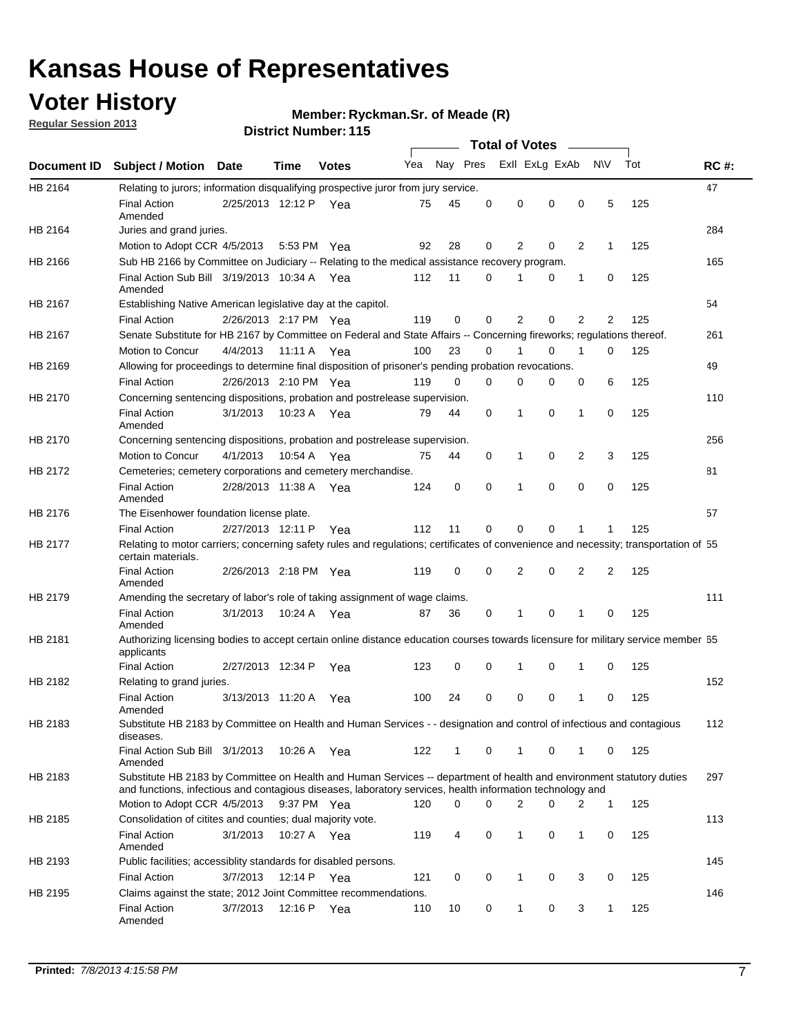## **Voter History**

**Regular Session 2013**

### **Member: Ryckman.Sr. of Meade (R)**

|             |                                                                                                                                                                                                                                    |                       |             |              |     |              |          | <b>Total of Votes</b> |          |                |                |     |             |
|-------------|------------------------------------------------------------------------------------------------------------------------------------------------------------------------------------------------------------------------------------|-----------------------|-------------|--------------|-----|--------------|----------|-----------------------|----------|----------------|----------------|-----|-------------|
| Document ID | <b>Subject / Motion Date</b>                                                                                                                                                                                                       |                       | Time        | <b>Votes</b> | Yea | Nay Pres     |          | Exll ExLg ExAb        |          |                | <b>NV</b>      | Tot | <b>RC#:</b> |
| HB 2164     | Relating to jurors; information disqualifying prospective juror from jury service.                                                                                                                                                 |                       |             |              |     |              |          |                       |          |                |                |     | 47          |
|             | <b>Final Action</b><br>Amended                                                                                                                                                                                                     | 2/25/2013 12:12 P     |             | Yea          | 75  | 45           | 0        | 0                     | 0        | 0              | 5              | 125 |             |
| HB 2164     | Juries and grand juries.                                                                                                                                                                                                           |                       |             |              |     |              |          |                       |          |                |                |     | 284         |
|             | Motion to Adopt CCR 4/5/2013                                                                                                                                                                                                       |                       |             | 5:53 PM Yea  | 92  | 28           | 0        | 2                     | 0        | 2              | 1              | 125 |             |
| HB 2166     | Sub HB 2166 by Committee on Judiciary -- Relating to the medical assistance recovery program.                                                                                                                                      |                       |             |              |     |              |          |                       |          |                |                |     | 165         |
|             | Final Action Sub Bill 3/19/2013 10:34 A Yea<br>Amended                                                                                                                                                                             |                       |             |              | 112 | 11           | 0        | 1                     | 0        | 1              | 0              | 125 |             |
| HB 2167     | Establishing Native American legislative day at the capitol.                                                                                                                                                                       |                       |             |              |     |              |          |                       |          |                |                |     | 54          |
|             | <b>Final Action</b>                                                                                                                                                                                                                | 2/26/2013 2:17 PM Yea |             |              | 119 | 0            | 0        | 2                     | 0        | $\overline{2}$ | $\overline{2}$ | 125 |             |
| HB 2167     | Senate Substitute for HB 2167 by Committee on Federal and State Affairs -- Concerning fireworks; regulations thereof.                                                                                                              |                       |             |              |     |              |          |                       |          |                |                |     | 261         |
|             | Motion to Concur                                                                                                                                                                                                                   | 4/4/2013 11:11 A Yea  |             |              | 100 | 23           | 0        |                       | $\Omega$ | 1              | $\Omega$       | 125 |             |
| HB 2169     | Allowing for proceedings to determine final disposition of prisoner's pending probation revocations.                                                                                                                               |                       |             |              |     |              |          |                       |          |                |                |     | 49          |
|             | <b>Final Action</b>                                                                                                                                                                                                                | 2/26/2013 2:10 PM Yea |             |              | 119 | $\Omega$     | $\Omega$ | 0                     | 0        | 0              | 6              | 125 |             |
| HB 2170     | Concerning sentencing dispositions, probation and postrelease supervision.                                                                                                                                                         |                       |             |              |     |              |          |                       |          |                |                |     | 110         |
|             | <b>Final Action</b><br>Amended                                                                                                                                                                                                     | 3/1/2013              |             | 10:23 A Yea  | 79  | 44           | 0        | 1                     | $\Omega$ | 1              | 0              | 125 |             |
| HB 2170     | Concerning sentencing dispositions, probation and postrelease supervision.                                                                                                                                                         |                       |             |              |     |              |          |                       |          |                |                |     | 256         |
|             | Motion to Concur                                                                                                                                                                                                                   | 4/1/2013              | 10:54 A     | Yea          | 75  | 44           | 0        | 1                     | 0        | 2              | 3              | 125 |             |
| HB 2172     | Cemeteries; cemetery corporations and cemetery merchandise.                                                                                                                                                                        |                       |             |              |     |              |          |                       |          |                |                |     | 81          |
|             | <b>Final Action</b><br>Amended                                                                                                                                                                                                     | 2/28/2013 11:38 A     |             | Yea          | 124 | 0            | 0        | 1                     | 0        | 0              | 0              | 125 |             |
| HB 2176     | The Eisenhower foundation license plate.                                                                                                                                                                                           |                       |             |              |     |              |          |                       |          |                |                |     | 57          |
|             | <b>Final Action</b>                                                                                                                                                                                                                | 2/27/2013 12:11 P     |             | Yea          | 112 | 11           | 0        | 0                     | 0        | 1              | 1              | 125 |             |
| HB 2177     | Relating to motor carriers; concerning safety rules and regulations; certificates of convenience and necessity; transportation of 55<br>certain materials.                                                                         |                       |             |              |     |              |          |                       |          |                |                |     |             |
|             | Final Action<br>Amended                                                                                                                                                                                                            | 2/26/2013 2:18 PM Yea |             |              | 119 | 0            | 0        | 2                     | 0        | $\overline{2}$ | 2              | 125 |             |
| HB 2179     | Amending the secretary of labor's role of taking assignment of wage claims.                                                                                                                                                        |                       |             |              |     |              |          |                       |          |                |                |     | 111         |
|             | <b>Final Action</b><br>Amended                                                                                                                                                                                                     | 3/1/2013              | 10:24 A     | Yea          | 87  | 36           | 0        | 1                     | 0        | 1              | 0              | 125 |             |
| HB 2181     | Authorizing licensing bodies to accept certain online distance education courses towards licensure for military service member 55<br>applicants                                                                                    |                       |             |              |     |              |          |                       |          |                |                |     |             |
|             | <b>Final Action</b>                                                                                                                                                                                                                | 2/27/2013 12:34 P     |             | Yea          | 123 | 0            | 0        | 1                     | 0        | 1              | 0              | 125 |             |
| HB 2182     | Relating to grand juries.                                                                                                                                                                                                          |                       |             |              |     |              |          |                       |          |                |                |     | 152         |
|             | <b>Final Action</b><br>Amended                                                                                                                                                                                                     | 3/13/2013 11:20 A     |             | Yea          | 100 | 24           | 0        | 0                     | 0        | 1              | 0              | 125 |             |
| HB 2183     | Substitute HB 2183 by Committee on Health and Human Services - - designation and control of infectious and contagious<br>diseases.                                                                                                 |                       |             |              |     |              |          |                       |          |                |                |     | 112         |
|             | Final Action Sub Bill 3/1/2013<br>Amended                                                                                                                                                                                          |                       |             | 10:26 A Yea  | 122 | $\mathbf{1}$ | 0        | $\mathbf{1}$          | 0        | $\mathbf{1}$   | 0              | 125 |             |
| HB 2183     | Substitute HB 2183 by Committee on Health and Human Services -- department of health and environment statutory duties<br>and functions, infectious and contagious diseases, laboratory services, health information technology and |                       |             |              |     |              |          |                       |          |                |                |     | 297         |
|             | Motion to Adopt CCR 4/5/2013                                                                                                                                                                                                       |                       |             | 9:37 PM Yea  | 120 | 0            | 0        | $\overline{2}$        | 0        | 2              | $\mathbf{1}$   | 125 |             |
| HB 2185     | Consolidation of citites and counties; dual majority vote.                                                                                                                                                                         |                       |             |              |     |              |          |                       |          |                |                |     | 113         |
|             | <b>Final Action</b><br>Amended                                                                                                                                                                                                     | 3/1/2013              |             | 10:27 A Yea  | 119 | 4            | 0        | 1                     | 0        | 1              | 0              | 125 |             |
| HB 2193     | Public facilities; accessiblity standards for disabled persons.                                                                                                                                                                    |                       |             |              |     |              |          |                       |          |                |                |     | 145         |
|             | <b>Final Action</b>                                                                                                                                                                                                                | 3/7/2013              | 12:14 P Yea |              | 121 | 0            | 0        | 1                     | 0        | 3              | 0              | 125 |             |
| HB 2195     | Claims against the state; 2012 Joint Committee recommendations.                                                                                                                                                                    |                       |             |              |     |              |          |                       |          |                |                |     | 146         |
|             | <b>Final Action</b><br>Amended                                                                                                                                                                                                     | 3/7/2013              | 12:16 P Yea |              | 110 | 10           | 0        | 1                     | 0        | 3              | $\mathbf{1}$   | 125 |             |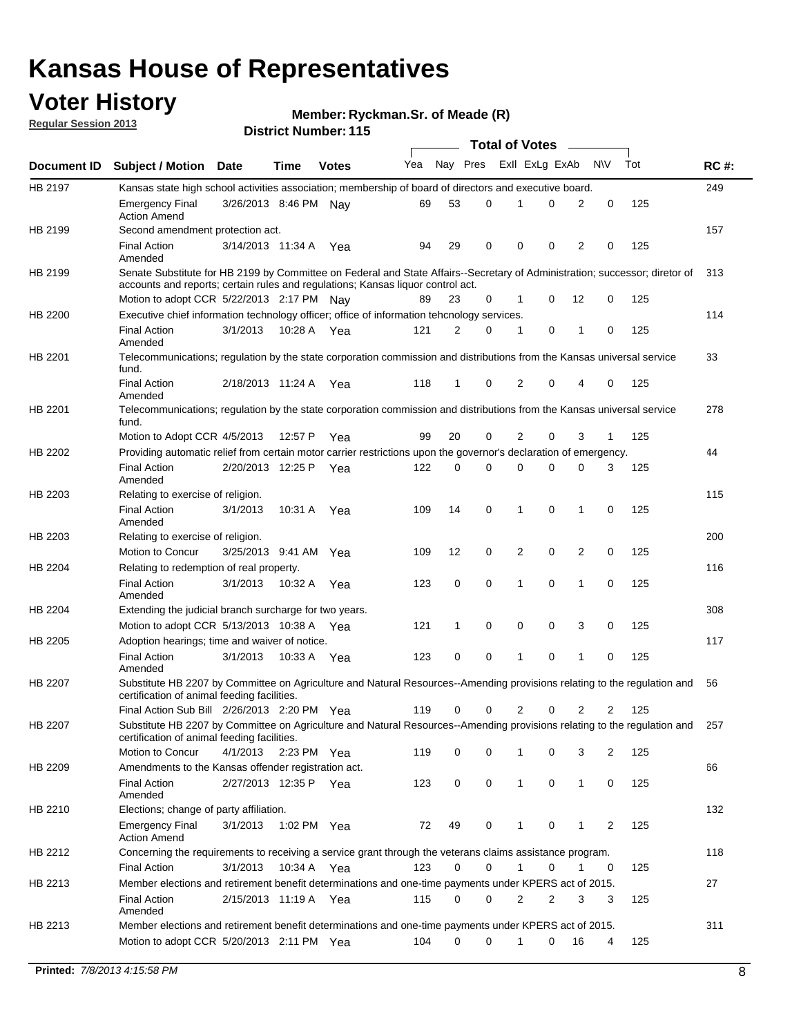## **Voter History**

**Member: Ryckman.Sr. of Meade (R)** 

**Regular Session 2013**

|                |                                                                                                                                                                             |                       |             |              |     |          |          | <b>Total of Votes</b> |   |              |            |     |             |
|----------------|-----------------------------------------------------------------------------------------------------------------------------------------------------------------------------|-----------------------|-------------|--------------|-----|----------|----------|-----------------------|---|--------------|------------|-----|-------------|
| Document ID    | <b>Subject / Motion Date</b>                                                                                                                                                |                       | Time        | <b>Votes</b> | Yea | Nay Pres |          | Exll ExLg ExAb        |   |              | <b>N/A</b> | Tot | <b>RC#:</b> |
| HB 2197        | Kansas state high school activities association; membership of board of directors and executive board.                                                                      |                       |             |              |     |          |          |                       |   |              |            |     | 249         |
|                | Emergency Final<br><b>Action Amend</b>                                                                                                                                      | 3/26/2013 8:46 PM     |             | Nav          | 69  | 53       | 0        |                       | 0 | 2            | 0          | 125 |             |
| HB 2199        | Second amendment protection act.                                                                                                                                            |                       |             |              |     |          |          |                       |   |              |            |     | 157         |
|                | <b>Final Action</b><br>Amended                                                                                                                                              | 3/14/2013 11:34 A     |             | Yea          | 94  | 29       | 0        | 0                     | 0 | 2            | 0          | 125 |             |
| HB 2199        | Senate Substitute for HB 2199 by Committee on Federal and State Affairs--Secretary of Administration; successor; diretor of                                                 |                       |             |              |     |          |          |                       |   |              |            |     | 313         |
|                | accounts and reports; certain rules and regulations; Kansas liguor control act.                                                                                             |                       |             |              |     |          |          |                       |   |              |            |     |             |
|                | Motion to adopt CCR 5/22/2013 2:17 PM Nav                                                                                                                                   |                       |             |              | 89  | 23       | 0        | 1                     | 0 | 12           | 0          | 125 |             |
| HB 2200        | Executive chief information technology officer; office of information tehcnology services.                                                                                  |                       |             |              |     |          |          |                       |   |              |            |     | 114         |
|                | <b>Final Action</b><br>Amended                                                                                                                                              | 3/1/2013              | 10:28 A     | Yea          | 121 | 2        | 0        | 1                     | 0 | 1            | 0          | 125 |             |
| HB 2201        | Telecommunications; regulation by the state corporation commission and distributions from the Kansas universal service<br>fund.                                             |                       |             |              |     |          |          |                       |   |              |            |     | 33          |
|                | <b>Final Action</b><br>Amended                                                                                                                                              | 2/18/2013 11:24 A     |             | Yea          | 118 | 1        | 0        | 2                     | 0 | 4            | 0          | 125 |             |
| HB 2201        | Telecommunications; regulation by the state corporation commission and distributions from the Kansas universal service<br>fund.                                             |                       |             |              |     |          |          |                       |   |              |            |     | 278         |
|                | Motion to Adopt CCR 4/5/2013                                                                                                                                                |                       | 12:57 P     | Yea          | 99  | 20       | 0        | 2                     | 0 | 3            | 1          | 125 |             |
| HB 2202        | Providing automatic relief from certain motor carrier restrictions upon the governor's declaration of emergency.                                                            |                       |             |              |     |          |          |                       |   |              |            |     | 44          |
|                | <b>Final Action</b><br>Amended                                                                                                                                              | 2/20/2013 12:25 P     |             | Yea          | 122 | 0        | 0        | 0                     | 0 | 0            | 3          | 125 |             |
| HB 2203        | Relating to exercise of religion.                                                                                                                                           |                       |             |              |     |          |          |                       |   |              |            |     | 115         |
|                | <b>Final Action</b><br>Amended                                                                                                                                              | 3/1/2013              | 10:31 A     | Yea          | 109 | 14       | 0        | 1                     | 0 | 1            | 0          | 125 |             |
| HB 2203        | Relating to exercise of religion.                                                                                                                                           |                       |             |              |     |          |          |                       |   |              |            |     | 200         |
|                | Motion to Concur                                                                                                                                                            | 3/25/2013 9:41 AM     |             | Yea          | 109 | 12       | 0        | 2                     | 0 | 2            | 0          | 125 |             |
| HB 2204        | Relating to redemption of real property.                                                                                                                                    |                       |             |              |     |          |          |                       |   |              |            |     | 116         |
|                | <b>Final Action</b><br>Amended                                                                                                                                              | 3/1/2013              | 10:32 A     | Yea          | 123 | 0        | 0        | 1                     | 0 | 1            | 0          | 125 |             |
| HB 2204        | Extending the judicial branch surcharge for two years.                                                                                                                      |                       |             |              |     |          |          |                       |   |              |            |     | 308         |
|                | Motion to adopt CCR 5/13/2013 10:38 A                                                                                                                                       |                       |             | Yea          | 121 | 1        | 0        | 0                     | 0 | 3            | 0          | 125 |             |
| HB 2205        | Adoption hearings; time and waiver of notice.                                                                                                                               |                       |             |              |     |          |          |                       |   |              |            |     | 117         |
|                | <b>Final Action</b><br>Amended                                                                                                                                              | 3/1/2013              | 10:33 A Yea |              | 123 | 0        | 0        | 1                     | 0 | 1            | 0          | 125 |             |
| HB 2207        | Substitute HB 2207 by Committee on Agriculture and Natural Resources--Amending provisions relating to the regulation and<br>certification of animal feeding facilities.     |                       |             |              |     |          |          |                       |   |              |            |     | 56          |
|                | Final Action Sub Bill 2/26/2013 2:20 PM Yea                                                                                                                                 |                       |             |              | 119 | 0        | 0        | 2                     | 0 | 2            | 2          | 125 |             |
| <b>HB 2207</b> | Substitute HB 2207 by Committee on Agriculture and Natural Resources--Amending provisions relating to the regulation and 257<br>certification of animal feeding facilities. |                       |             |              |     |          |          |                       |   |              |            |     |             |
|                | Motion to Concur                                                                                                                                                            | 4/1/2013 2:23 PM Yea  |             |              | 119 | 0        | 0        | 1                     | 0 | 3            | 2          | 125 |             |
| HB 2209        | Amendments to the Kansas offender registration act.                                                                                                                         |                       |             |              |     |          |          |                       |   |              |            |     | 66          |
|                | Final Action<br>Amended                                                                                                                                                     | 2/27/2013 12:35 P Yea |             |              | 123 | 0        | 0        | $\mathbf{1}$          | 0 | $\mathbf{1}$ | 0          | 125 |             |
| HB 2210        | Elections; change of party affiliation.                                                                                                                                     |                       |             |              |     |          |          |                       |   |              |            |     | 132         |
|                | <b>Emergency Final</b><br><b>Action Amend</b>                                                                                                                               | 3/1/2013              |             | 1:02 PM Yea  | 72  | 49       | 0        |                       | 0 | 1            | 2          | 125 |             |
| HB 2212        | Concerning the requirements to receiving a service grant through the veterans claims assistance program.                                                                    |                       |             |              |     |          |          |                       |   |              |            |     | 118         |
|                | Final Action                                                                                                                                                                | 3/1/2013              | 10:34 A Yea |              | 123 | 0        | 0        | $\mathbf{1}$          | 0 | 1            | 0          | 125 |             |
| HB 2213        | Member elections and retirement benefit determinations and one-time payments under KPERS act of 2015.                                                                       |                       |             |              |     |          |          |                       |   |              |            |     | 27          |
|                | <b>Final Action</b><br>Amended                                                                                                                                              | 2/15/2013 11:19 A Yea |             |              | 115 | 0        | 0        | 2                     | 2 | 3            | 3          | 125 |             |
| HB 2213        | Member elections and retirement benefit determinations and one-time payments under KPERS act of 2015.                                                                       |                       |             |              |     |          |          |                       |   |              |            |     | 311         |
|                | Motion to adopt CCR 5/20/2013 2:11 PM Yea                                                                                                                                   |                       |             |              | 104 | $\Omega$ | $\Omega$ | 1                     | 0 | 16           | 4          | 125 |             |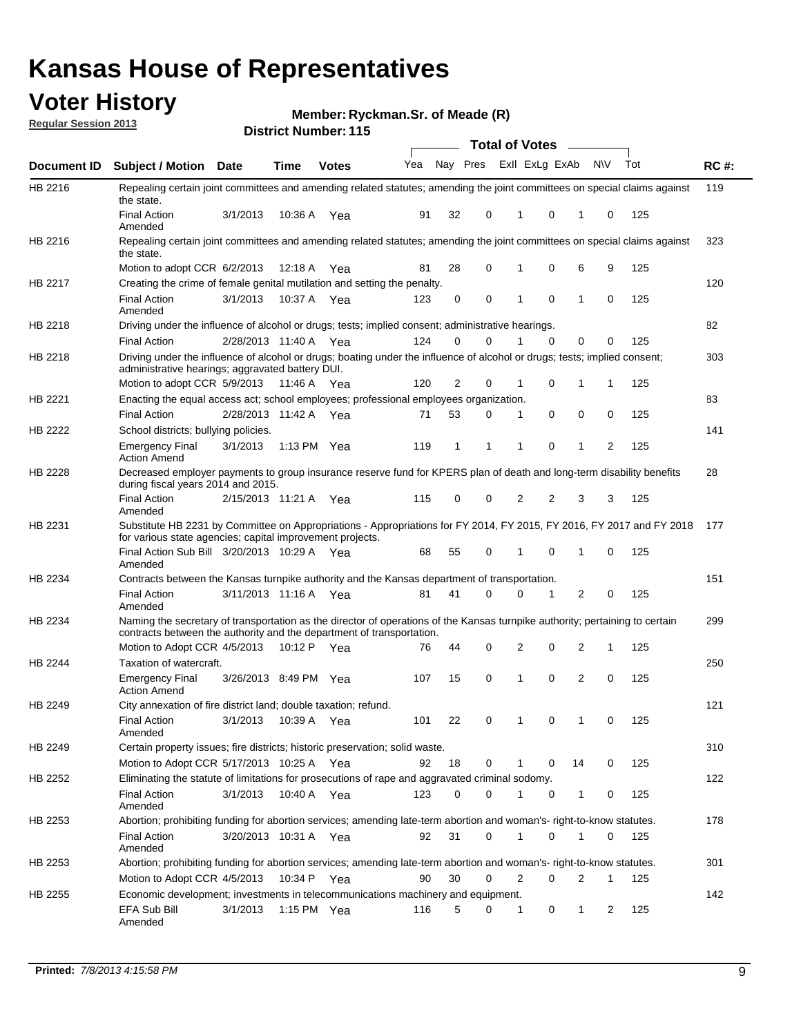## **Voter History**

**Member: Ryckman.Sr. of Meade (R)** 

**Regular Session 2013**

|                    |                                                                                                                                                                                                       |                       |             | DISTILI MUIIIDEI . I IJ |     |                         |             | Total of Votes – |                |                |                |     |             |
|--------------------|-------------------------------------------------------------------------------------------------------------------------------------------------------------------------------------------------------|-----------------------|-------------|-------------------------|-----|-------------------------|-------------|------------------|----------------|----------------|----------------|-----|-------------|
| <b>Document ID</b> | <b>Subject / Motion Date</b>                                                                                                                                                                          |                       | <b>Time</b> | <b>Votes</b>            | Yea | Nay Pres Exll ExLg ExAb |             |                  |                |                | <b>NV</b>      | Tot | <b>RC#:</b> |
| HB 2216            | Repealing certain joint committees and amending related statutes; amending the joint committees on special claims against<br>the state.                                                               |                       |             |                         |     |                         |             |                  |                |                |                |     | 119         |
|                    | <b>Final Action</b><br>Amended                                                                                                                                                                        | 3/1/2013              | 10:36 A     | Yea                     | 91  | 32                      | 0           | 1                | 0              | 1              | 0              | 125 |             |
| HB 2216            | Repealing certain joint committees and amending related statutes; amending the joint committees on special claims against<br>the state.                                                               |                       |             |                         |     |                         |             |                  |                |                |                |     | 323         |
|                    | Motion to adopt CCR 6/2/2013                                                                                                                                                                          |                       | 12:18 A     | Yea                     | 81  | 28                      | 0           | 1                | 0              | 6              | 9              | 125 |             |
| <b>HB 2217</b>     | Creating the crime of female genital mutilation and setting the penalty.                                                                                                                              |                       |             |                         |     |                         |             |                  |                |                |                |     | 120         |
|                    | <b>Final Action</b><br>Amended                                                                                                                                                                        | 3/1/2013              |             | 10:37 A Yea             | 123 | 0                       | 0           | 1                | 0              | 1              | 0              | 125 |             |
| HB 2218            | Driving under the influence of alcohol or drugs; tests; implied consent; administrative hearings.                                                                                                     |                       |             |                         |     |                         |             |                  |                |                |                |     | 82          |
|                    | <b>Final Action</b>                                                                                                                                                                                   | 2/28/2013 11:40 A Yea |             |                         | 124 | 0                       | 0           | 1                | 0              | 0              | 0              | 125 |             |
| HB 2218            | Driving under the influence of alcohol or drugs; boating under the influence of alcohol or drugs; tests; implied consent;<br>administrative hearings; aggravated battery DUI.                         |                       |             |                         |     |                         |             |                  |                |                |                |     | 303         |
|                    | Motion to adopt CCR 5/9/2013                                                                                                                                                                          |                       | 11:46 A     | Yea                     | 120 | 2                       | 0           | 1                | 0              | 1              | $\mathbf{1}$   | 125 |             |
| HB 2221            | Enacting the equal access act; school employees; professional employees organization.                                                                                                                 |                       |             |                         |     |                         |             |                  |                |                |                |     | 83          |
|                    | <b>Final Action</b>                                                                                                                                                                                   | 2/28/2013 11:42 A     |             | Yea                     | 71  | 53                      | 0           | 1                | 0              | 0              | 0              | 125 |             |
| HB 2222            | School districts; bullying policies.                                                                                                                                                                  |                       |             |                         |     |                         |             |                  |                |                |                |     | 141         |
|                    | <b>Emergency Final</b><br><b>Action Amend</b>                                                                                                                                                         | 3/1/2013              |             | 1:13 PM $Yea$           | 119 | 1                       | 1           | 1                | 0              | 1              | 2              | 125 |             |
| HB 2228            | Decreased employer payments to group insurance reserve fund for KPERS plan of death and long-term disability benefits<br>during fiscal years 2014 and 2015.                                           |                       |             |                         |     |                         |             |                  |                |                |                |     | 28          |
|                    | <b>Final Action</b><br>Amended                                                                                                                                                                        | 2/15/2013 11:21 A Yea |             |                         | 115 | 0                       | 0           | 2                | $\overline{2}$ | 3              | 3              | 125 |             |
| HB 2231            | Substitute HB 2231 by Committee on Appropriations - Appropriations for FY 2014, FY 2015, FY 2016, FY 2017 and FY 2018<br>for various state agencies; capital improvement projects.                    |                       |             |                         |     |                         |             |                  |                |                |                |     | 177         |
|                    | Final Action Sub Bill 3/20/2013 10:29 A<br>Amended                                                                                                                                                    |                       |             | Yea                     | 68  | 55                      | 0           | 1                | 0              | 1              | 0              | 125 |             |
| HB 2234            | Contracts between the Kansas turnpike authority and the Kansas department of transportation.                                                                                                          |                       |             |                         |     |                         |             |                  |                |                |                |     | 151         |
|                    | <b>Final Action</b><br>Amended                                                                                                                                                                        | 3/11/2013 11:16 A Yea |             |                         | 81  | 41                      | $\Omega$    | $\Omega$         | 1              | $\overline{2}$ | 0              | 125 |             |
| HB 2234            | Naming the secretary of transportation as the director of operations of the Kansas turnpike authority; pertaining to certain<br>contracts between the authority and the department of transportation. |                       |             |                         |     |                         |             |                  |                |                |                |     | 299         |
|                    | Motion to Adopt CCR 4/5/2013                                                                                                                                                                          |                       | 10:12 P     | Yea                     | 76  | 44                      | 0           | $\overline{2}$   | 0              | 2              | 1              | 125 |             |
| <b>HB 2244</b>     | Taxation of watercraft.                                                                                                                                                                               |                       |             |                         |     |                         |             |                  |                |                |                |     | 250         |
|                    | <b>Emergency Final</b><br><b>Action Amend</b>                                                                                                                                                         | 3/26/2013 8:49 PM Yea |             |                         | 107 | 15                      | 0           | 1                | 0              | 2              | 0              | 125 |             |
| HB 2249            | City annexation of fire district land; double taxation; refund.                                                                                                                                       |                       |             |                         |     |                         |             |                  |                |                |                |     | 121         |
|                    | Final Action 3/1/2013 10:39 A Yea<br>Amended                                                                                                                                                          |                       |             |                         | 101 | 22                      | $\mathbf 0$ |                  |                |                |                | 125 |             |
| HB 2249            | Certain property issues; fire districts; historic preservation; solid waste.                                                                                                                          |                       |             |                         |     |                         |             |                  |                |                |                |     | 310         |
|                    | Motion to Adopt CCR 5/17/2013 10:25 A Yea                                                                                                                                                             |                       |             |                         | 92  | 18                      | 0           |                  | 0              | 14             | 0              | 125 |             |
| HB 2252            | Eliminating the statute of limitations for prosecutions of rape and aggravated criminal sodomy.                                                                                                       |                       |             |                         |     |                         |             |                  |                |                |                |     | 122         |
|                    | <b>Final Action</b><br>Amended                                                                                                                                                                        | 3/1/2013              |             | 10:40 A Yea             | 123 | 0                       | 0           |                  | 0              | 1              | 0              | 125 |             |
| HB 2253            | Abortion; prohibiting funding for abortion services; amending late-term abortion and woman's- right-to-know statutes.                                                                                 |                       |             |                         |     |                         |             |                  |                |                |                |     | 178         |
|                    | <b>Final Action</b><br>Amended                                                                                                                                                                        | 3/20/2013 10:31 A Yea |             |                         | 92  | 31                      | 0           | 1                | 0              | 1              | 0              | 125 |             |
| HB 2253            | Abortion; prohibiting funding for abortion services; amending late-term abortion and woman's- right-to-know statutes.                                                                                 |                       |             |                         |     |                         |             |                  |                |                |                |     | 301         |
|                    | Motion to Adopt CCR 4/5/2013                                                                                                                                                                          |                       |             | 10:34 P Yea             | 90  | 30                      | 0           | 2                | 0              | 2              | 1              | 125 |             |
| HB 2255            | Economic development; investments in telecommunications machinery and equipment.                                                                                                                      |                       |             |                         |     |                         |             |                  |                |                |                |     | 142         |
|                    | EFA Sub Bill<br>Amended                                                                                                                                                                               | 3/1/2013              |             | 1:15 PM Yea             | 116 | 5                       | 0           | 1                | 0              | 1              | $\overline{c}$ | 125 |             |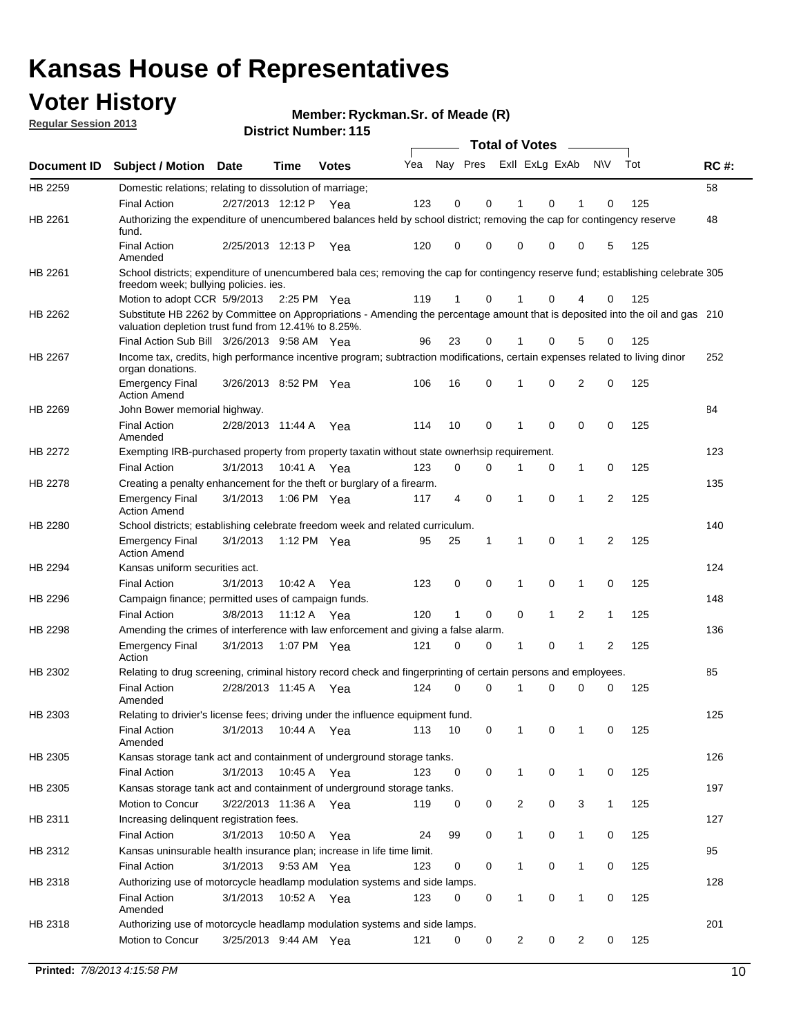## **Voter History**

**Member: Ryckman.Sr. of Meade (R)** 

**Regular Session 2013**

|             |                                                                                                                                                                                       |                       |             |              |     |                         |          | <b>Total of Votes</b> |              | $\overline{\phantom{0}}$ |              |     |             |
|-------------|---------------------------------------------------------------------------------------------------------------------------------------------------------------------------------------|-----------------------|-------------|--------------|-----|-------------------------|----------|-----------------------|--------------|--------------------------|--------------|-----|-------------|
| Document ID | <b>Subject / Motion Date</b>                                                                                                                                                          |                       | Time        | <b>Votes</b> | Yea | Nay Pres ExII ExLg ExAb |          |                       |              |                          | <b>NV</b>    | Tot | <b>RC#:</b> |
| HB 2259     | Domestic relations; relating to dissolution of marriage;                                                                                                                              |                       |             |              |     |                         |          |                       |              |                          |              |     | 58          |
|             | <b>Final Action</b>                                                                                                                                                                   | 2/27/2013 12:12 P     |             | Yea          | 123 | 0                       | 0        | 1                     | 0            | 1                        | 0            | 125 |             |
| HB 2261     | Authorizing the expenditure of unencumbered balances held by school district; removing the cap for contingency reserve<br>fund.                                                       |                       |             |              |     |                         |          |                       |              |                          |              |     | 48          |
|             | <b>Final Action</b><br>Amended                                                                                                                                                        | 2/25/2013 12:13 P     |             | Yea          | 120 | 0                       | 0        | 0                     | 0            | 0                        | 5            | 125 |             |
| HB 2261     | School districts; expenditure of unencumbered bala ces; removing the cap for contingency reserve fund; establishing celebrate 305<br>freedom week; bullying policies. ies.            |                       |             |              |     |                         |          |                       |              |                          |              |     |             |
|             | Motion to adopt CCR 5/9/2013                                                                                                                                                          |                       | 2:25 PM Yea |              | 119 | 1                       | 0        |                       | 0            | 4                        | 0            | 125 |             |
| HB 2262     | Substitute HB 2262 by Committee on Appropriations - Amending the percentage amount that is deposited into the oil and gas 210<br>valuation depletion trust fund from 12.41% to 8.25%. |                       |             |              |     |                         |          |                       |              |                          |              |     |             |
|             | Final Action Sub Bill 3/26/2013 9:58 AM Yea                                                                                                                                           |                       |             |              | 96  | 23                      | 0        |                       | 0            | 5                        | 0            | 125 |             |
| HB 2267     | Income tax, credits, high performance incentive program; subtraction modifications, certain expenses related to living dinor<br>organ donations.                                      |                       |             |              |     |                         |          |                       |              |                          |              |     | 252         |
|             | <b>Emergency Final</b><br><b>Action Amend</b>                                                                                                                                         | 3/26/2013 8:52 PM Yea |             |              | 106 | 16                      | 0        | 1                     | 0            | 2                        | 0            | 125 |             |
| HB 2269     | John Bower memorial highway.<br><b>Final Action</b>                                                                                                                                   | 2/28/2013 11:44 A     |             | Yea          | 114 | 10                      | 0        | 1                     | 0            | 0                        | 0            | 125 | 84          |
|             | Amended                                                                                                                                                                               |                       |             |              |     |                         |          |                       |              |                          |              |     |             |
| HB 2272     | Exempting IRB-purchased property from property taxatin without state ownerhsip requirement.                                                                                           |                       |             |              |     |                         |          |                       |              |                          |              |     | 123         |
|             | <b>Final Action</b>                                                                                                                                                                   | 3/1/2013              | 10:41 A     | Yea          | 123 | 0                       | 0        | 1                     | 0            | $\mathbf{1}$             | 0            | 125 |             |
| HB 2278     | Creating a penalty enhancement for the theft or burglary of a firearm.                                                                                                                |                       |             |              |     |                         |          |                       |              |                          |              |     | 135         |
|             | <b>Emergency Final</b><br><b>Action Amend</b>                                                                                                                                         | 3/1/2013              | 1:06 PM Yea |              | 117 | 4                       | 0        | 1                     | 0            | 1                        | 2            | 125 |             |
| HB 2280     | School districts; establishing celebrate freedom week and related curriculum.                                                                                                         |                       |             |              |     |                         |          |                       |              |                          |              |     | 140         |
|             | <b>Emergency Final</b><br><b>Action Amend</b>                                                                                                                                         | 3/1/2013              | 1:12 PM Yea |              | 95  | 25                      | 1        | 1                     | 0            | 1                        | 2            | 125 |             |
| HB 2294     | Kansas uniform securities act.                                                                                                                                                        |                       |             |              |     |                         |          |                       |              |                          |              |     | 124         |
|             | <b>Final Action</b>                                                                                                                                                                   | 3/1/2013              | 10:42 A     | Yea          | 123 | 0                       | 0        | 1                     | 0            | 1                        | 0            | 125 |             |
| HB 2296     | Campaign finance; permitted uses of campaign funds.                                                                                                                                   |                       |             |              |     |                         |          |                       |              |                          |              |     | 148         |
|             | <b>Final Action</b>                                                                                                                                                                   | 3/8/2013              | 11:12 A Yea |              | 120 | $\mathbf{1}$            | 0        | $\Omega$              | $\mathbf{1}$ | $\overline{2}$           | $\mathbf{1}$ | 125 |             |
| HB 2298     | Amending the crimes of interference with law enforcement and giving a false alarm.                                                                                                    |                       |             |              |     |                         |          |                       |              |                          |              |     | 136         |
|             | <b>Emergency Final</b><br>Action                                                                                                                                                      | 3/1/2013              | 1:07 PM Yea |              | 121 | 0                       | 0        | 1                     | 0            | 1                        | 2            | 125 |             |
| HB 2302     | Relating to drug screening, criminal history record check and fingerprinting of certain persons and employees.                                                                        |                       |             |              |     |                         |          |                       |              |                          |              |     | 85          |
|             | <b>Final Action</b><br>Amended                                                                                                                                                        | 2/28/2013 11:45 A     |             | Yea          | 124 | 0                       | $\Omega$ |                       | 0            | 0                        | 0            | 125 |             |
| HB 2303     | Relating to drivier's license fees; driving under the influence equipment fund.                                                                                                       |                       |             |              |     |                         |          |                       |              |                          |              |     | 125         |
|             | <b>Final Action</b><br>Amended                                                                                                                                                        | 3/1/2013              | 10:44 A     | Yea          | 113 | 10                      | 0        | 1                     | 0            | 1                        | 0            | 125 |             |
| HB 2305     | Kansas storage tank act and containment of underground storage tanks.                                                                                                                 |                       |             |              |     |                         |          |                       |              |                          |              |     | 126         |
|             | <b>Final Action</b>                                                                                                                                                                   | 3/1/2013              | 10:45 A     | Yea          | 123 | 0                       | 0        | 1                     | 0            | 1                        | 0            | 125 |             |
| HB 2305     | Kansas storage tank act and containment of underground storage tanks.                                                                                                                 |                       |             |              |     |                         |          |                       |              |                          |              |     | 197         |
|             | Motion to Concur                                                                                                                                                                      | 3/22/2013 11:36 A     |             | Yea          | 119 | 0                       | 0        | $\overline{c}$        | 0            | 3                        | $\mathbf{1}$ | 125 |             |
| HB 2311     | Increasing delinquent registration fees.                                                                                                                                              |                       |             |              |     |                         |          |                       |              |                          |              |     | 127         |
|             | <b>Final Action</b>                                                                                                                                                                   | 3/1/2013              | 10:50 A     | Yea          | 24  | 99                      | 0        | $\mathbf{1}$          | 0            | 1                        | 0            | 125 |             |
| HB 2312     | Kansas uninsurable health insurance plan; increase in life time limit.                                                                                                                |                       |             |              |     |                         |          |                       |              |                          |              |     | 95          |
|             | <b>Final Action</b>                                                                                                                                                                   | 3/1/2013              | 9:53 AM Yea |              | 123 | 0                       | 0        | 1                     | 0            | 1                        | 0            | 125 |             |
| HB 2318     | Authorizing use of motorcycle headlamp modulation systems and side lamps.                                                                                                             |                       |             |              |     |                         |          |                       |              |                          |              |     | 128         |
|             | <b>Final Action</b><br>Amended                                                                                                                                                        | 3/1/2013              | 10:52 A     | Yea          | 123 | 0                       | 0        | 1                     | 0            | 1                        | 0            | 125 |             |
| HB 2318     | Authorizing use of motorcycle headlamp modulation systems and side lamps.                                                                                                             |                       |             |              |     |                         |          |                       |              |                          |              |     | 201         |
|             | Motion to Concur                                                                                                                                                                      | 3/25/2013 9:44 AM Yea |             |              | 121 | 0                       | 0        | 2                     | 0            | 2                        | 0            | 125 |             |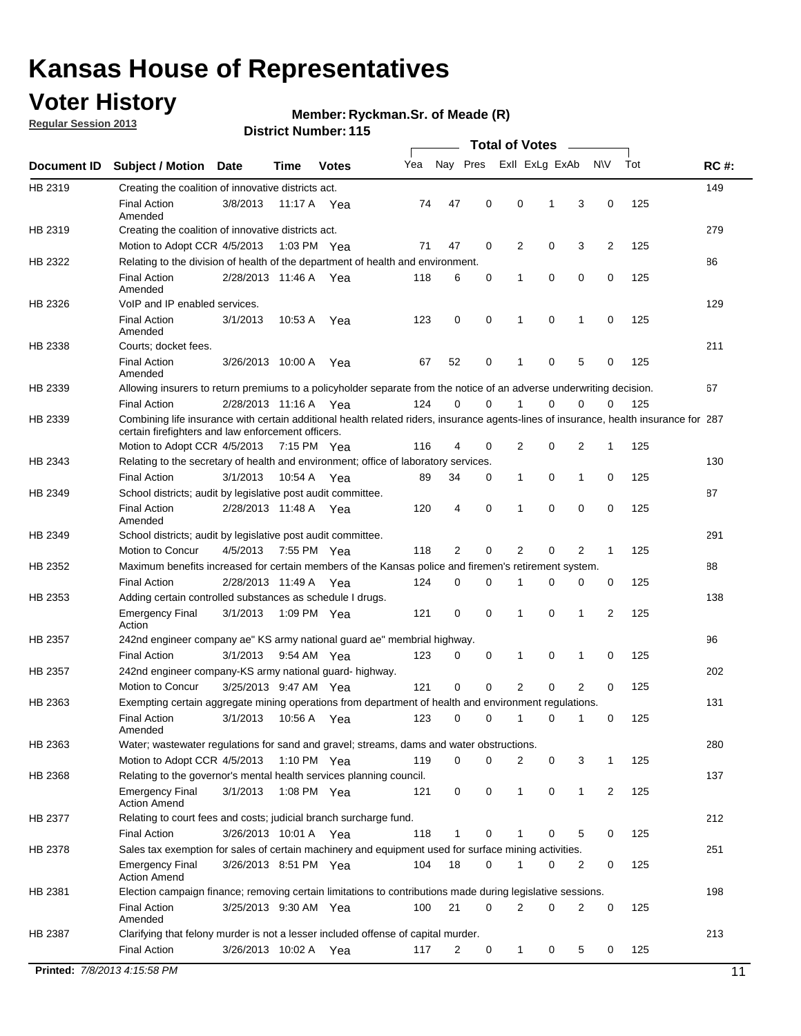## **Voter History**

**Regular Session 2013**

### **Member: Ryckman.Sr. of Meade (R)**

|             |                                                                                                                                                                                             |                       |             |               |     |             |             | <b>Total of Votes</b> |             |                |             |     |             |
|-------------|---------------------------------------------------------------------------------------------------------------------------------------------------------------------------------------------|-----------------------|-------------|---------------|-----|-------------|-------------|-----------------------|-------------|----------------|-------------|-----|-------------|
| Document ID | <b>Subject / Motion</b>                                                                                                                                                                     | Date                  | Time        | <b>Votes</b>  | Yea | Nay Pres    |             | Exll ExLg ExAb        |             |                | <b>NV</b>   | Tot | <b>RC#:</b> |
| HB 2319     | Creating the coalition of innovative districts act.                                                                                                                                         |                       |             |               |     |             |             |                       |             |                |             |     | 149         |
|             | <b>Final Action</b><br>Amended                                                                                                                                                              | 3/8/2013              | 11:17 A     | Yea           | 74  | 47          | 0           | 0                     | 1           | 3              | 0           | 125 |             |
| HB 2319     | Creating the coalition of innovative districts act.<br>Motion to Adopt CCR 4/5/2013                                                                                                         |                       |             | 1:03 PM Yea   | 71  | 47          | 0           | 2                     | 0           | 3              | 2           | 125 | 279         |
| HB 2322     | Relating to the division of health of the department of health and environment.                                                                                                             |                       |             |               |     |             |             |                       |             |                |             |     | 86          |
|             | <b>Final Action</b><br>Amended                                                                                                                                                              | 2/28/2013 11:46 A Yea |             |               | 118 | 6           | 0           | 1                     | 0           | 0              | 0           | 125 |             |
| HB 2326     | VoIP and IP enabled services.                                                                                                                                                               |                       |             |               |     |             |             |                       |             |                |             |     | 129         |
|             | <b>Final Action</b><br>Amended                                                                                                                                                              | 3/1/2013              | 10:53 A     | Yea           | 123 | $\mathbf 0$ | 0           | 1                     | $\mathbf 0$ | 1              | $\mathbf 0$ | 125 |             |
| HB 2338     | Courts; docket fees.                                                                                                                                                                        |                       |             |               |     |             |             |                       |             |                |             |     | 211         |
|             | <b>Final Action</b><br>Amended                                                                                                                                                              | 3/26/2013 10:00 A     |             | Yea           | 67  | 52          | 0           | $\mathbf 1$           | 0           | 5              | 0           | 125 |             |
| HB 2339     | Allowing insurers to return premiums to a policyholder separate from the notice of an adverse underwriting decision.                                                                        |                       |             |               |     |             |             |                       |             |                |             |     | 67          |
|             | <b>Final Action</b>                                                                                                                                                                         | 2/28/2013 11:16 A Yea |             |               | 124 | 0           | 0           | 1                     | 0           | 0              | 0           | 125 |             |
| HB 2339     | Combining life insurance with certain additional health related riders, insurance agents-lines of insurance, health insurance for 287<br>certain firefighters and law enforcement officers. |                       |             |               |     |             |             |                       |             |                |             |     |             |
|             | Motion to Adopt CCR 4/5/2013 7:15 PM Yea                                                                                                                                                    |                       |             |               | 116 | 4           | 0           | 2                     | 0           | 2              | 1           | 125 |             |
| HB 2343     | Relating to the secretary of health and environment; office of laboratory services.                                                                                                         |                       |             |               |     |             |             |                       |             |                |             |     | 130         |
|             | <b>Final Action</b>                                                                                                                                                                         | 3/1/2013              | 10:54 A Yea |               | 89  | 34          | 0           | $\mathbf{1}$          | 0           | 1              | 0           | 125 |             |
| HB 2349     | School districts; audit by legislative post audit committee.<br><b>Final Action</b>                                                                                                         | 2/28/2013 11:48 A Yea |             |               | 120 | 4           | 0           | 1                     | $\Omega$    | $\Omega$       | 0           | 125 | 87          |
|             | Amended                                                                                                                                                                                     |                       |             |               |     |             |             |                       |             |                |             |     |             |
| HB 2349     | School districts; audit by legislative post audit committee.                                                                                                                                |                       |             |               | 118 |             | 0           |                       | 0           | 2              |             |     | 291         |
| HB 2352     | Motion to Concur<br>Maximum benefits increased for certain members of the Kansas police and firemen's retirement system.                                                                    | 4/5/2013              |             | 7:55 PM Yea   |     | 2           |             | 2                     |             |                | 1           | 125 | 88          |
|             | <b>Final Action</b>                                                                                                                                                                         |                       |             |               |     | 0           |             | 1                     |             |                |             |     |             |
|             |                                                                                                                                                                                             | 2/28/2013 11:49 A     |             | Yea           | 124 |             | 0           |                       | 0           | 0              | 0           | 125 |             |
| HB 2353     | Adding certain controlled substances as schedule I drugs.<br><b>Emergency Final</b><br>Action                                                                                               | 3/1/2013              |             | 1:09 PM Yea   | 121 | $\mathbf 0$ | 0           | 1                     | 0           | 1              | 2           | 125 | 138         |
| HB 2357     | 242nd engineer company ae" KS army national guard ae" membrial highway.                                                                                                                     |                       |             |               |     |             |             |                       |             |                |             |     | 96          |
|             | <b>Final Action</b>                                                                                                                                                                         | 3/1/2013              |             | 9:54 AM Yea   | 123 | 0           | 0           | 1                     | 0           | 1              | 0           | 125 |             |
| HB 2357     | 242nd engineer company-KS army national guard- highway.                                                                                                                                     |                       |             |               |     |             |             |                       |             |                |             |     | 202         |
|             | Motion to Concur                                                                                                                                                                            | 3/25/2013 9:47 AM Yea |             |               | 121 | $\mathbf 0$ | $\mathbf 0$ | $\overline{2}$        | $\mathbf 0$ | $\overline{2}$ | 0           | 125 |             |
| HB 2363     | Exempting certain aggregate mining operations from department of health and environment regulations.                                                                                        |                       |             |               |     |             |             |                       |             |                |             |     | 131         |
|             | <b>Final Action</b><br>Amended                                                                                                                                                              | 3/1/2013              | 10:56 A     | Yea           | 123 | 0           | 0           | 1                     | 0           | 1              | 0           | 125 |             |
| HB 2363     | Water; wastewater regulations for sand and gravel; streams, dams and water obstructions.                                                                                                    |                       |             |               |     |             |             |                       |             |                |             |     | 280         |
|             | Motion to Adopt CCR 4/5/2013                                                                                                                                                                |                       |             | 1:10 PM $Yea$ | 119 | 0           | 0           | 2                     | 0           | 3              | 1           | 125 |             |
| HB 2368     | Relating to the governor's mental health services planning council.                                                                                                                         |                       |             |               |     |             |             |                       |             |                |             |     | 137         |
|             | <b>Emergency Final</b><br><b>Action Amend</b>                                                                                                                                               | 3/1/2013              |             | 1:08 PM Yea   | 121 | 0           | 0           | $\mathbf{1}$          | 0           | 1              | 2           | 125 |             |
| HB 2377     | Relating to court fees and costs; judicial branch surcharge fund.                                                                                                                           |                       |             |               |     |             |             |                       |             |                |             |     | 212         |
|             | <b>Final Action</b>                                                                                                                                                                         | 3/26/2013 10:01 A Yea |             |               | 118 | 1           | 0           |                       | 0           | 5              | 0           | 125 |             |
| HB 2378     | Sales tax exemption for sales of certain machinery and equipment used for surface mining activities.                                                                                        |                       |             |               |     |             |             |                       |             |                |             |     | 251         |
|             | <b>Emergency Final</b><br><b>Action Amend</b>                                                                                                                                               | 3/26/2013 8:51 PM Yea |             |               | 104 | 18          | 0           | 1                     | 0           | 2              | 0           | 125 |             |
| HB 2381     | Election campaign finance; removing certain limitations to contributions made during legislative sessions.                                                                                  |                       |             |               |     |             |             |                       |             |                |             |     | 198         |
|             | <b>Final Action</b><br>Amended                                                                                                                                                              | 3/25/2013 9:30 AM Yea |             |               | 100 | 21          | 0           | $\overline{2}$        | 0           | 2              | 0           | 125 |             |
| HB 2387     | Clarifying that felony murder is not a lesser included offense of capital murder.                                                                                                           |                       |             |               |     |             |             |                       |             |                |             |     | 213         |
|             | <b>Final Action</b>                                                                                                                                                                         | 3/26/2013 10:02 A     |             | Yea           | 117 | 2           | 0           | $\mathbf{1}$          | 0           | 5              | 0           | 125 |             |
|             | Printed: 7/8/2013 4:15:58 PM                                                                                                                                                                |                       |             |               |     |             |             |                       |             |                |             |     | 11          |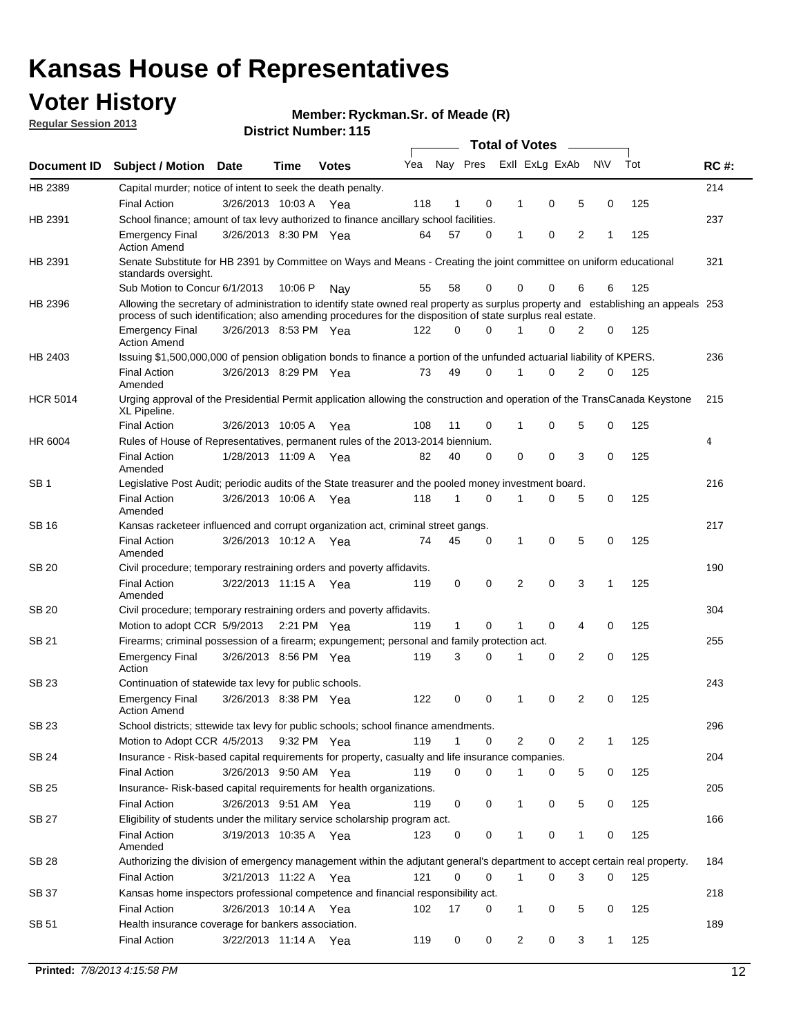## **Voter History**

**Member: Ryckman.Sr. of Meade (R)** 

**Regular Session 2013**

|                 |                                                                                                                                                                                                                                                  |                       |         |              |     |              |          | <b>Total of Votes</b> |   |   |           |     |             |
|-----------------|--------------------------------------------------------------------------------------------------------------------------------------------------------------------------------------------------------------------------------------------------|-----------------------|---------|--------------|-----|--------------|----------|-----------------------|---|---|-----------|-----|-------------|
| Document ID     | Subject / Motion Date                                                                                                                                                                                                                            |                       | Time    | <b>Votes</b> | Yea | Nay Pres     |          | Exll ExLg ExAb        |   |   | <b>NV</b> | Tot | <b>RC#:</b> |
| HB 2389         | Capital murder; notice of intent to seek the death penalty.                                                                                                                                                                                      |                       |         |              |     |              |          |                       |   |   |           |     | 214         |
|                 | <b>Final Action</b>                                                                                                                                                                                                                              | 3/26/2013 10:03 A     |         | Yea          | 118 | 1            | 0        | 1                     | 0 | 5 | 0         | 125 |             |
| HB 2391         | School finance; amount of tax levy authorized to finance ancillary school facilities.                                                                                                                                                            |                       |         |              |     |              |          |                       |   |   |           |     | 237         |
|                 | <b>Emergency Final</b><br><b>Action Amend</b>                                                                                                                                                                                                    | 3/26/2013 8:30 PM Yea |         |              | 64  | 57           | 0        | 1                     | 0 | 2 | 1         | 125 |             |
| HB 2391         | Senate Substitute for HB 2391 by Committee on Ways and Means - Creating the joint committee on uniform educational<br>standards oversight.                                                                                                       |                       |         |              |     |              |          |                       |   |   |           |     | 321         |
|                 | Sub Motion to Concur 6/1/2013                                                                                                                                                                                                                    |                       | 10:06 P | Nav          | 55  | 58           | 0        | 0                     | 0 | 6 | 6         | 125 |             |
| HB 2396         | Allowing the secretary of administration to identify state owned real property as surplus property and establishing an appeals 253<br>process of such identification; also amending procedures for the disposition of state surplus real estate. |                       |         |              |     |              |          |                       |   |   |           |     |             |
|                 | <b>Emergency Final</b><br><b>Action Amend</b>                                                                                                                                                                                                    | 3/26/2013 8:53 PM Yea |         |              | 122 | 0            | 0        | 1                     | 0 | 2 | 0         | 125 |             |
| HB 2403         | Issuing \$1,500,000,000 of pension obligation bonds to finance a portion of the unfunded actuarial liability of KPERS.                                                                                                                           |                       |         |              |     |              |          |                       |   |   |           |     | 236         |
|                 | <b>Final Action</b><br>Amended                                                                                                                                                                                                                   | 3/26/2013 8:29 PM Yea |         |              | 73  | 49           | 0        | 1                     | 0 | 2 | 0         | 125 |             |
| <b>HCR 5014</b> | Urging approval of the Presidential Permit application allowing the construction and operation of the TransCanada Keystone<br>XL Pipeline.                                                                                                       |                       |         |              |     |              |          |                       |   |   |           |     | 215         |
|                 | <b>Final Action</b>                                                                                                                                                                                                                              | 3/26/2013 10:05 A     |         | Yea          | 108 | 11           | 0        | 1                     | 0 | 5 | 0         | 125 |             |
| HR 6004         | Rules of House of Representatives, permanent rules of the 2013-2014 biennium.                                                                                                                                                                    |                       |         |              |     |              |          |                       |   |   |           |     | 4           |
|                 | <b>Final Action</b><br>Amended                                                                                                                                                                                                                   | 1/28/2013 11:09 A     |         | Yea          | 82  | 40           | 0        | 0                     | 0 | 3 | 0         | 125 |             |
| SB <sub>1</sub> | Legislative Post Audit; periodic audits of the State treasurer and the pooled money investment board.                                                                                                                                            |                       |         |              |     |              |          |                       |   |   |           |     | 216         |
|                 | <b>Final Action</b><br>Amended                                                                                                                                                                                                                   | 3/26/2013 10:06 A Yea |         |              | 118 | $\mathbf 1$  | 0        | 1                     | 0 | 5 | 0         | 125 |             |
| SB 16           | Kansas racketeer influenced and corrupt organization act, criminal street gangs.                                                                                                                                                                 |                       |         |              |     |              |          |                       |   |   |           |     | 217         |
|                 | <b>Final Action</b><br>Amended                                                                                                                                                                                                                   | 3/26/2013 10:12 A Yea |         |              | 74  | 45           | 0        | 1                     | 0 | 5 | 0         | 125 |             |
| SB 20           | Civil procedure; temporary restraining orders and poverty affidavits.                                                                                                                                                                            |                       |         |              |     |              |          |                       |   |   |           |     | 190         |
|                 | <b>Final Action</b><br>Amended                                                                                                                                                                                                                   | 3/22/2013 11:15 A     |         | Yea          | 119 | 0            | 0        | 2                     | 0 | 3 | 1         | 125 |             |
| SB 20           | Civil procedure; temporary restraining orders and poverty affidavits.                                                                                                                                                                            |                       |         |              |     |              |          |                       |   |   |           |     | 304         |
|                 | Motion to adopt CCR 5/9/2013 2:21 PM Yea                                                                                                                                                                                                         |                       |         |              | 119 | $\mathbf{1}$ | 0        | 1                     | 0 | 4 | 0         | 125 |             |
| SB 21           | Firearms; criminal possession of a firearm; expungement; personal and family protection act.                                                                                                                                                     |                       |         |              |     |              |          |                       |   |   |           |     | 255         |
|                 | <b>Emergency Final</b><br>Action                                                                                                                                                                                                                 | 3/26/2013 8:56 PM Yea |         |              | 119 | 3            | 0        | 1                     | 0 | 2 | 0         | 125 |             |
| SB 23           | Continuation of statewide tax levy for public schools.                                                                                                                                                                                           |                       |         |              |     |              |          |                       |   |   |           |     | 243         |
|                 | <b>Emergency Final</b><br><b>Action Amend</b>                                                                                                                                                                                                    | 3/26/2013 8:38 PM Yea |         |              | 122 | 0            | 0        | 1                     | 0 | 2 | 0         | 125 |             |
| SB 23           | School districts; sttewide tax levy for public schools; school finance amendments.                                                                                                                                                               |                       |         |              |     |              |          |                       |   |   |           |     | 296         |
|                 | Motion to Adopt CCR 4/5/2013 9:32 PM Yea                                                                                                                                                                                                         |                       |         |              | 119 | $\mathbf{1}$ | 0        | 2                     | 0 | 2 | 1         | 125 |             |
| SB 24           | Insurance - Risk-based capital requirements for property, casualty and life insurance companies.                                                                                                                                                 |                       |         |              |     |              |          |                       |   |   |           |     | 204         |
|                 | <b>Final Action</b>                                                                                                                                                                                                                              | 3/26/2013 9:50 AM Yea |         |              | 119 | 0            | 0        | 1                     | 0 | 5 | 0         | 125 |             |
| SB 25           | Insurance-Risk-based capital requirements for health organizations.                                                                                                                                                                              |                       |         |              |     |              |          |                       |   |   |           |     | 205         |
|                 | <b>Final Action</b>                                                                                                                                                                                                                              | 3/26/2013 9:51 AM Yea |         |              | 119 | 0            | 0        | 1                     | 0 | 5 | 0         | 125 |             |
| SB 27           | Eligibility of students under the military service scholarship program act.                                                                                                                                                                      |                       |         |              |     |              |          |                       |   |   |           |     | 166         |
|                 | <b>Final Action</b><br>Amended                                                                                                                                                                                                                   | 3/19/2013 10:35 A Yea |         |              | 123 | 0            | 0        | 1                     | 0 | 1 | 0         | 125 |             |
| SB 28           | Authorizing the division of emergency management within the adjutant general's department to accept certain real property.                                                                                                                       |                       |         |              |     |              |          |                       |   |   |           |     | 184         |
|                 | Final Action                                                                                                                                                                                                                                     | 3/21/2013 11:22 A Yea |         |              | 121 | 0            | $\Omega$ | 1                     | 0 | 3 | 0         | 125 |             |
| SB 37           | Kansas home inspectors professional competence and financial responsibility act.                                                                                                                                                                 |                       |         |              |     |              |          |                       |   |   |           |     | 218         |
|                 | <b>Final Action</b>                                                                                                                                                                                                                              | 3/26/2013 10:14 A Yea |         |              | 102 | 17           | 0        | 1                     | 0 | 5 | 0         | 125 |             |
| SB 51           | Health insurance coverage for bankers association.                                                                                                                                                                                               |                       |         |              |     |              |          |                       |   |   |           |     | 189         |
|                 | <b>Final Action</b>                                                                                                                                                                                                                              | 3/22/2013 11:14 A Yea |         |              | 119 | 0            | 0        | 2                     | 0 | 3 | 1         | 125 |             |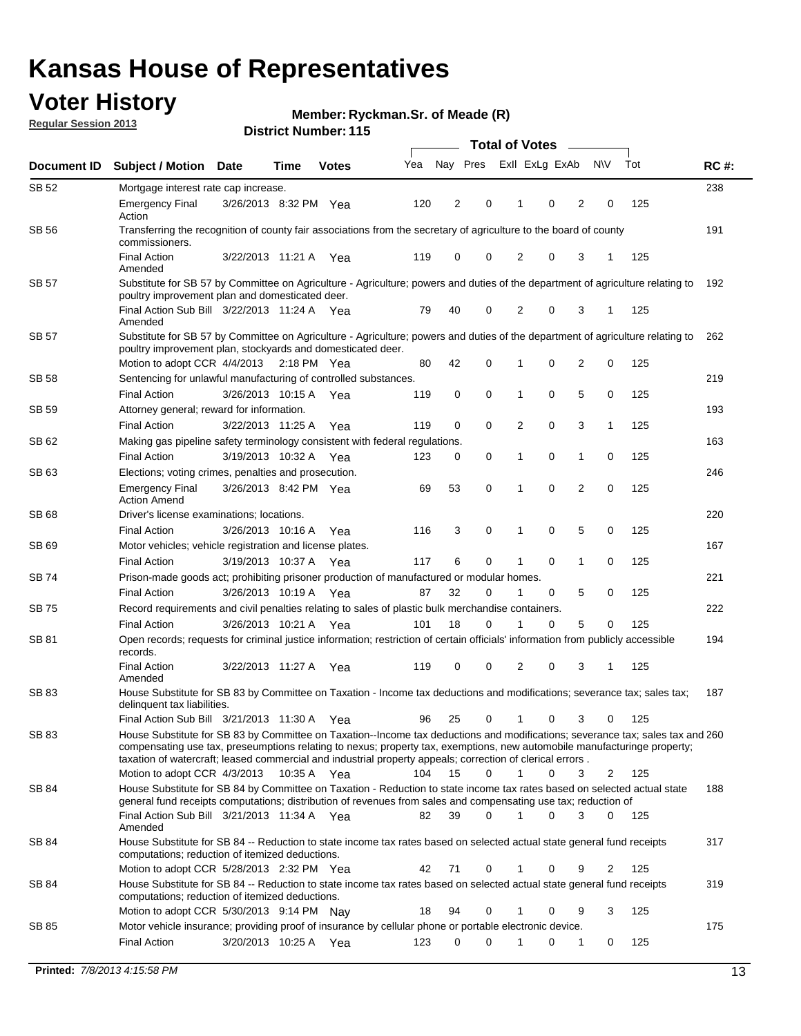## **Voter History**

**Member: Ryckman.Sr. of Meade (R)** 

**Regular Session 2013**

| Document ID  | <b>Subject / Motion Date</b>                                                                                                                                                                                                                                                                                                                                            |                                                                                                                   | Time          | <b>Votes</b> | Yea | Nay Pres |             | Exll ExLg ExAb |   |                | <b>NV</b> | Tot | <b>RC#:</b> |
|--------------|-------------------------------------------------------------------------------------------------------------------------------------------------------------------------------------------------------------------------------------------------------------------------------------------------------------------------------------------------------------------------|-------------------------------------------------------------------------------------------------------------------|---------------|--------------|-----|----------|-------------|----------------|---|----------------|-----------|-----|-------------|
| SB 52        | Mortgage interest rate cap increase.                                                                                                                                                                                                                                                                                                                                    |                                                                                                                   |               |              |     |          |             |                |   |                |           |     | 238         |
|              | <b>Emergency Final</b><br>Action                                                                                                                                                                                                                                                                                                                                        | 3/26/2013 8:32 PM Yea                                                                                             |               |              | 120 | 2        | 0           | 1              | 0 | 2              | 0         | 125 |             |
| SB 56        | commissioners.                                                                                                                                                                                                                                                                                                                                                          | Transferring the recognition of county fair associations from the secretary of agriculture to the board of county |               |              |     |          |             |                |   |                |           |     |             |
|              | <b>Final Action</b><br>Amended                                                                                                                                                                                                                                                                                                                                          | 3/22/2013 11:21 A                                                                                                 |               | Yea          | 119 | 0        | 0           | 2              | 0 | 3              | 1         | 125 |             |
| <b>SB 57</b> | Substitute for SB 57 by Committee on Agriculture - Agriculture; powers and duties of the department of agriculture relating to<br>poultry improvement plan and domesticated deer.                                                                                                                                                                                       |                                                                                                                   |               |              |     |          |             |                |   |                |           |     | 192         |
|              | Final Action Sub Bill 3/22/2013 11:24 A Yea<br>Amended                                                                                                                                                                                                                                                                                                                  |                                                                                                                   |               |              | 79  | 40       | 0           | 2              | 0 | 3              | 1         | 125 |             |
| SB 57        | Substitute for SB 57 by Committee on Agriculture - Agriculture; powers and duties of the department of agriculture relating to<br>poultry improvement plan, stockyards and domesticated deer.                                                                                                                                                                           |                                                                                                                   |               |              |     |          |             |                |   |                |           |     | 262         |
|              | Motion to adopt CCR 4/4/2013                                                                                                                                                                                                                                                                                                                                            |                                                                                                                   | $2:18$ PM Yea |              | 80  | 42       | 0           |                | 0 | 2              | 0         | 125 |             |
| SB 58        | Sentencing for unlawful manufacturing of controlled substances.                                                                                                                                                                                                                                                                                                         |                                                                                                                   |               |              |     |          |             |                |   |                |           |     | 219         |
| <b>SB 59</b> | <b>Final Action</b><br>Attorney general; reward for information.                                                                                                                                                                                                                                                                                                        | 3/26/2013 10:15 A                                                                                                 |               | Yea          | 119 | 0        | 0           | 1              | 0 | 5              | 0         | 125 | 193         |
|              | <b>Final Action</b>                                                                                                                                                                                                                                                                                                                                                     | 3/22/2013 11:25 A                                                                                                 |               | Yea          | 119 | 0        | $\mathbf 0$ | 2              | 0 | 3              | 1         | 125 |             |
| SB 62        | Making gas pipeline safety terminology consistent with federal regulations.                                                                                                                                                                                                                                                                                             |                                                                                                                   |               |              |     |          |             |                |   |                |           |     | 163         |
|              | <b>Final Action</b>                                                                                                                                                                                                                                                                                                                                                     | 3/19/2013 10:32 A                                                                                                 |               | Yea          | 123 | 0        | 0           | 1              | 0 | 1              | 0         | 125 |             |
| SB 63        | Elections; voting crimes, penalties and prosecution.                                                                                                                                                                                                                                                                                                                    |                                                                                                                   |               |              |     |          |             |                |   |                |           |     | 246         |
|              | <b>Emergency Final</b><br><b>Action Amend</b>                                                                                                                                                                                                                                                                                                                           | 3/26/2013 8:42 PM Yea                                                                                             |               |              | 69  | 53       | $\mathbf 0$ | 1              | 0 | $\overline{2}$ | 0         | 125 |             |
| SB 68        | Driver's license examinations; locations.                                                                                                                                                                                                                                                                                                                               |                                                                                                                   |               |              |     |          |             |                |   |                |           |     | 220         |
|              | <b>Final Action</b>                                                                                                                                                                                                                                                                                                                                                     | 3/26/2013 10:16 A                                                                                                 |               | Yea          | 116 | 3        | 0           | 1              | 0 | 5              | 0         | 125 |             |
| SB 69        | Motor vehicles; vehicle registration and license plates.                                                                                                                                                                                                                                                                                                                |                                                                                                                   |               |              |     |          |             |                |   |                |           |     | 167         |
|              | <b>Final Action</b>                                                                                                                                                                                                                                                                                                                                                     | 3/19/2013 10:37 A                                                                                                 |               | Yea          | 117 | 6        | 0           | 1              | 0 | 1              | 0         | 125 |             |
| SB 74        | Prison-made goods act; prohibiting prisoner production of manufactured or modular homes.                                                                                                                                                                                                                                                                                |                                                                                                                   |               |              |     |          |             |                |   |                |           |     | 221         |
|              | <b>Final Action</b>                                                                                                                                                                                                                                                                                                                                                     | 3/26/2013 10:19 A                                                                                                 |               | Yea          | 87  | 32       | 0           | 1              | 0 | 5              | 0         | 125 |             |
| SB 75        | Record requirements and civil penalties relating to sales of plastic bulk merchandise containers.                                                                                                                                                                                                                                                                       |                                                                                                                   |               |              |     |          |             |                |   |                |           |     | 222         |
|              | <b>Final Action</b>                                                                                                                                                                                                                                                                                                                                                     | 3/26/2013 10:21 A                                                                                                 |               | Yea          | 101 | 18       | 0           |                | 0 | 5              | 0         | 125 |             |
| SB 81        | Open records; requests for criminal justice information; restriction of certain officials' information from publicly accessible<br>records.                                                                                                                                                                                                                             |                                                                                                                   |               |              |     |          |             |                |   |                |           |     | 194         |
|              | <b>Final Action</b><br>Amended                                                                                                                                                                                                                                                                                                                                          | 3/22/2013 11:27 A                                                                                                 |               | Yea          | 119 | 0        | 0           | 2              | 0 | 3              | 1         | 125 |             |
| SB 83        | House Substitute for SB 83 by Committee on Taxation - Income tax deductions and modifications; severance tax; sales tax;<br>delinquent tax liabilities.                                                                                                                                                                                                                 |                                                                                                                   |               |              |     |          |             |                |   |                |           |     | 187         |
|              | Final Action Sub Bill 3/21/2013 11:30 A                                                                                                                                                                                                                                                                                                                                 |                                                                                                                   |               | Yea          | 96  | 25       | 0           | 1              | 0 | 3              | 0         | 125 |             |
| SB 83        | House Substitute for SB 83 by Committee on Taxation--Income tax deductions and modifications; severance tax; sales tax and 260<br>compensating use tax, preseumptions relating to nexus; property tax, exemptions, new automobile manufacturinge property;<br>taxation of watercraft; leased commercial and industrial property appeals; correction of clerical errors. |                                                                                                                   |               |              |     |          |             |                |   |                |           |     |             |
|              | Motion to adopt CCR 4/3/2013                                                                                                                                                                                                                                                                                                                                            |                                                                                                                   | 10:35 A Yea   |              | 104 | 15       | $\Omega$    | $\mathbf 1$    | 0 | 3              | 2         | 125 |             |
| SB 84        | House Substitute for SB 84 by Committee on Taxation - Reduction to state income tax rates based on selected actual state<br>general fund receipts computations; distribution of revenues from sales and compensating use tax; reduction of                                                                                                                              |                                                                                                                   |               |              |     |          |             |                |   |                |           |     | 188         |
|              | Final Action Sub Bill 3/21/2013 11:34 A Yea<br>Amended                                                                                                                                                                                                                                                                                                                  |                                                                                                                   |               |              | 82  | 39       | $\Omega$    |                | 0 | 3              | $\Omega$  | 125 |             |
| SB 84        | House Substitute for SB 84 -- Reduction to state income tax rates based on selected actual state general fund receipts<br>computations; reduction of itemized deductions.                                                                                                                                                                                               |                                                                                                                   |               |              |     |          |             |                |   |                |           |     | 317         |
|              | Motion to adopt CCR 5/28/2013 2:32 PM Yea                                                                                                                                                                                                                                                                                                                               |                                                                                                                   |               |              | 42  | 71       | 0           |                | 0 | 9              | 2         | 125 |             |
| SB 84        | House Substitute for SB 84 -- Reduction to state income tax rates based on selected actual state general fund receipts<br>computations; reduction of itemized deductions.                                                                                                                                                                                               |                                                                                                                   |               |              |     |          |             |                |   |                |           |     | 319         |
|              | Motion to adopt CCR 5/30/2013 9:14 PM Nay                                                                                                                                                                                                                                                                                                                               |                                                                                                                   |               |              | 18  | 94       | 0           |                | 0 | 9              | 3         | 125 |             |
| SB 85        | Motor vehicle insurance; providing proof of insurance by cellular phone or portable electronic device.                                                                                                                                                                                                                                                                  |                                                                                                                   |               |              |     |          |             |                |   |                |           |     | 175         |
|              | <b>Final Action</b>                                                                                                                                                                                                                                                                                                                                                     | 3/20/2013 10:25 A Yea                                                                                             |               |              | 123 | 0        | 0           |                | 0 | 1              | 0         | 125 |             |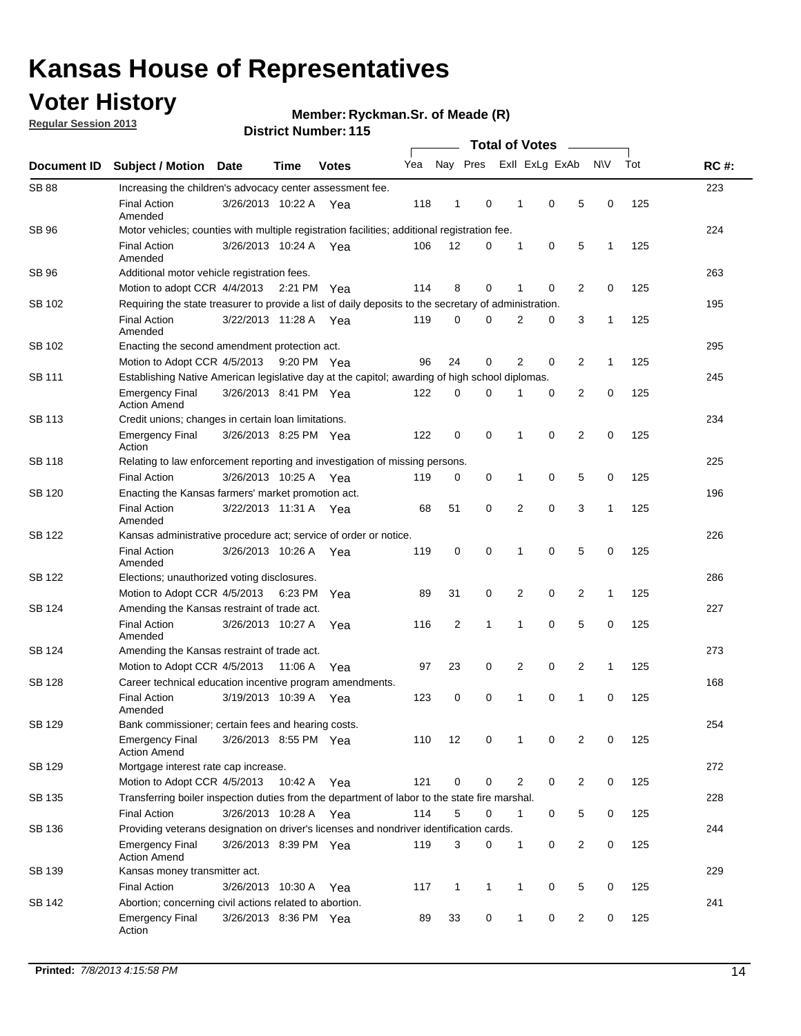## **Voter History**

**Regular Session 2013**

**Member: Ryckman.Sr. of Meade (R)** 

| Document ID   |                                                                                                       |                       |         |              |     |                |              |                |                |                |              |     |             |
|---------------|-------------------------------------------------------------------------------------------------------|-----------------------|---------|--------------|-----|----------------|--------------|----------------|----------------|----------------|--------------|-----|-------------|
|               | <b>Subject / Motion Date</b>                                                                          |                       | Time    | <b>Votes</b> | Yea | Nay Pres       |              |                | Exll ExLg ExAb |                | N\V          | Tot | <b>RC#:</b> |
| <b>SB 88</b>  | Increasing the children's advocacy center assessment fee.                                             |                       |         |              |     |                |              |                |                |                |              |     | 223         |
|               | <b>Final Action</b><br>Amended                                                                        | 3/26/2013 10:22 A     |         | Yea          | 118 | $\mathbf{1}$   | 0            | 1              | 0              | 5              | 0            | 125 |             |
| SB 96         | Motor vehicles; counties with multiple registration facilities; additional registration fee.          |                       |         |              |     |                |              |                |                |                |              |     | 224         |
|               | <b>Final Action</b><br>Amended                                                                        | 3/26/2013 10:24 A Yea |         |              | 106 | 12             | 0            | 1              | 0              | 5              | 1            | 125 |             |
| SB 96         | Additional motor vehicle registration fees.                                                           |                       |         |              |     |                |              |                |                |                |              |     | 263         |
|               | Motion to adopt CCR 4/4/2013 2:21 PM Yea                                                              |                       |         |              | 114 | 8              | 0            | 1              | $\mathbf 0$    | 2              | 0            | 125 |             |
| SB 102        | Requiring the state treasurer to provide a list of daily deposits to the secretary of administration. |                       |         |              |     |                |              |                |                |                |              |     | 195         |
|               | <b>Final Action</b><br>Amended                                                                        | 3/22/2013 11:28 A Yea |         |              | 119 | 0              | $\Omega$     | $\overline{2}$ | 0              | 3              | 1            | 125 |             |
| SB 102        | Enacting the second amendment protection act.                                                         |                       |         |              |     |                |              |                |                |                |              |     | 295         |
|               | Motion to Adopt CCR 4/5/2013                                                                          |                       |         | 9:20 PM Yea  | 96  | 24             | 0            | $\overline{2}$ | 0              | 2              | 1            | 125 |             |
| SB 111        | Establishing Native American legislative day at the capitol; awarding of high school diplomas.        |                       |         |              |     |                |              |                |                |                |              |     |             |
|               | <b>Emergency Final</b><br><b>Action Amend</b>                                                         | 3/26/2013 8:41 PM Yea |         |              | 122 | 0              | $\Omega$     |                | 0              | 2              | 0            | 125 |             |
| SB 113        | Credit unions; changes in certain loan limitations.                                                   |                       |         |              |     |                |              |                |                |                |              |     | 234         |
|               | Emergency Final<br>Action                                                                             | 3/26/2013 8:25 PM Yea |         |              | 122 | $\mathbf 0$    | 0            | 1              | 0              | $\overline{2}$ | 0            | 125 |             |
| <b>SB 118</b> | Relating to law enforcement reporting and investigation of missing persons.                           |                       |         |              |     |                |              |                |                |                |              |     | 225         |
|               | <b>Final Action</b>                                                                                   | 3/26/2013 10:25 A Yea |         |              | 119 | 0              | 0            | 1              | 0              | 5              | 0            | 125 |             |
| SB 120        | Enacting the Kansas farmers' market promotion act.                                                    |                       |         |              |     |                |              |                |                |                |              |     | 196         |
|               | <b>Final Action</b><br>Amended                                                                        | 3/22/2013 11:31 A Yea |         |              | 68  | 51             | 0            | $\overline{2}$ | $\mathbf 0$    | 3              | 1            | 125 |             |
| <b>SB 122</b> | Kansas administrative procedure act; service of order or notice.                                      |                       |         |              |     |                |              |                |                |                |              |     | 226         |
|               | <b>Final Action</b><br>Amended                                                                        | 3/26/2013 10:26 A     |         | Yea          | 119 | 0              | 0            | 1              | $\mathbf 0$    | 5              | 0            | 125 |             |
| SB 122        | Elections; unauthorized voting disclosures.                                                           |                       |         |              |     |                |              |                |                |                |              |     |             |
|               | Motion to Adopt CCR 4/5/2013 6:23 PM                                                                  |                       |         | Yea          | 89  | 31             | 0            | 2              | 0              | 2              | $\mathbf{1}$ | 125 |             |
| SB 124        | Amending the Kansas restraint of trade act.                                                           |                       |         |              |     |                |              |                |                |                |              |     | 227         |
|               | <b>Final Action</b><br>Amended                                                                        | 3/26/2013 10:27 A     |         | Yea          | 116 | $\overline{2}$ | $\mathbf{1}$ | 1              | $\mathbf 0$    | 5              | 0            | 125 |             |
| SB 124        | Amending the Kansas restraint of trade act.                                                           |                       |         |              |     |                |              |                |                |                |              |     | 273         |
|               | Motion to Adopt CCR 4/5/2013                                                                          |                       | 11:06 A | Yea          | 97  | 23             | 0            | $\overline{2}$ | 0              | $\overline{2}$ | $\mathbf{1}$ | 125 |             |
| <b>SB 128</b> | Career technical education incentive program amendments.                                              |                       |         |              |     |                |              |                |                |                |              |     | 168         |
|               | <b>Final Action</b><br>Amended                                                                        | 3/19/2013 10:39 A     |         | Yea          | 123 | 0              | 0            | 1              | 0              | $\mathbf{1}$   | 0            | 125 |             |
| SB 129        | Bank commissioner: certain fees and hearing costs.                                                    |                       |         |              |     |                |              |                |                |                |              |     | 254         |
|               | Emergency Final<br><b>Action Amend</b>                                                                | 3/26/2013 8:55 PM Yea |         |              | 110 | 12             | 0            | 1              | 0              | 2              | 0            | 125 |             |
| SB 129        | Mortgage interest rate cap increase.                                                                  |                       |         |              |     |                |              |                |                |                |              |     | 272         |
|               | Motion to Adopt CCR 4/5/2013                                                                          |                       | 10:42 A | Yea          | 121 | $\mathbf 0$    | 0            | 2              | 0              | $\overline{c}$ | 0            | 125 |             |
| SB 135        | Transferring boiler inspection duties from the department of labor to the state fire marshal.         |                       |         |              |     |                |              |                |                |                |              |     | 228         |
|               | <b>Final Action</b>                                                                                   | 3/26/2013 10:28 A Yea |         |              | 114 | 5              | 0            | 1              | 0              | 5              | 0            | 125 |             |
| SB 136        | Providing veterans designation on driver's licenses and nondriver identification cards.               |                       |         |              |     |                |              |                |                |                |              |     | 244         |
|               | Emergency Final<br><b>Action Amend</b>                                                                | 3/26/2013 8:39 PM Yea |         |              | 119 | 3              | 0            | 1              | 0              | $\overline{2}$ | 0            | 125 |             |
| SB 139        | Kansas money transmitter act.                                                                         |                       |         |              |     |                |              |                |                |                |              |     | 229         |
|               | <b>Final Action</b>                                                                                   | 3/26/2013 10:30 A     |         | Yea          | 117 | 1              | $\mathbf{1}$ | 1              | 0              | 5              | 0            | 125 |             |
| SB 142        | Abortion; concerning civil actions related to abortion.                                               |                       |         |              |     |                |              |                |                |                |              |     | 241         |
|               | Emergency Final<br>Action                                                                             | 3/26/2013 8:36 PM Yea |         |              | 89  | 33             | 0            | 1              | 0              | $\overline{c}$ | 0            | 125 |             |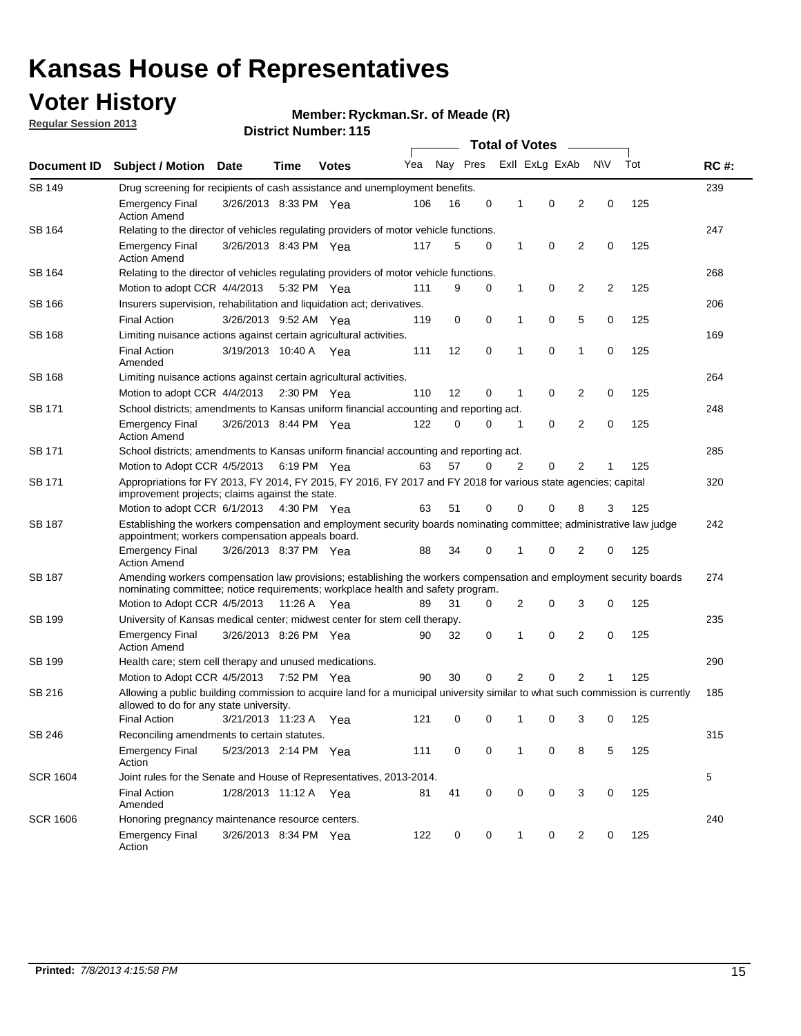## **Voter History**

**Member: Ryckman.Sr. of Meade (R)** 

**Regular Session 2013**

| Document ID     |                                                                                                                                                                                                       |                                                                                         |             |              |     | <b>Total of Votes</b> |   |   |                |                |           |     |             |  |  |  |  |  |  |  |
|-----------------|-------------------------------------------------------------------------------------------------------------------------------------------------------------------------------------------------------|-----------------------------------------------------------------------------------------|-------------|--------------|-----|-----------------------|---|---|----------------|----------------|-----------|-----|-------------|--|--|--|--|--|--|--|
|                 | <b>Subject / Motion Date</b>                                                                                                                                                                          |                                                                                         | Time        | <b>Votes</b> | Yea | Nay Pres              |   |   | Exll ExLg ExAb |                | <b>NV</b> | Tot | <b>RC#:</b> |  |  |  |  |  |  |  |
| <b>SB 149</b>   | 239<br>Drug screening for recipients of cash assistance and unemployment benefits.                                                                                                                    |                                                                                         |             |              |     |                       |   |   |                |                |           |     |             |  |  |  |  |  |  |  |
|                 | <b>Emergency Final</b><br><b>Action Amend</b>                                                                                                                                                         | 3/26/2013 8:33 PM Yea                                                                   |             |              | 106 | 16                    | 0 | 1 | 0              | 2              | 0         | 125 |             |  |  |  |  |  |  |  |
| SB 164          | Relating to the director of vehicles regulating providers of motor vehicle functions.                                                                                                                 |                                                                                         |             |              |     |                       |   |   |                |                |           |     | 247         |  |  |  |  |  |  |  |
|                 | <b>Emergency Final</b><br><b>Action Amend</b>                                                                                                                                                         | 3/26/2013 8:43 PM Yea                                                                   |             |              | 117 | 5                     | 0 | 1 | 0              | 2              | 0         | 125 |             |  |  |  |  |  |  |  |
| SB 164          | Relating to the director of vehicles regulating providers of motor vehicle functions.                                                                                                                 |                                                                                         |             |              |     |                       |   |   |                |                |           |     | 268         |  |  |  |  |  |  |  |
|                 |                                                                                                                                                                                                       | 0<br>Motion to adopt CCR 4/4/2013<br>9<br>0<br>1<br>2<br>2<br>125<br>5:32 PM Yea<br>111 |             |              |     |                       |   |   |                |                |           |     |             |  |  |  |  |  |  |  |
| SB 166          | Insurers supervision, rehabilitation and liquidation act; derivatives.                                                                                                                                |                                                                                         |             |              |     |                       |   |   |                |                |           |     | 206         |  |  |  |  |  |  |  |
|                 | <b>Final Action</b>                                                                                                                                                                                   | 3/26/2013 9:52 AM Yea                                                                   |             |              | 119 | 0                     | 0 | 1 | 0              | 5              | 0         | 125 |             |  |  |  |  |  |  |  |
| SB 168          | Limiting nuisance actions against certain agricultural activities.                                                                                                                                    |                                                                                         |             |              |     |                       |   |   |                |                |           |     | 169         |  |  |  |  |  |  |  |
|                 | <b>Final Action</b><br>Amended                                                                                                                                                                        | 3/19/2013 10:40 A Yea                                                                   |             |              | 111 | 12                    | 0 | 1 | 0              | 1              | 0         | 125 |             |  |  |  |  |  |  |  |
| SB 168          | Limiting nuisance actions against certain agricultural activities.                                                                                                                                    |                                                                                         |             |              |     |                       |   |   |                |                |           |     | 264         |  |  |  |  |  |  |  |
|                 | Motion to adopt CCR 4/4/2013                                                                                                                                                                          |                                                                                         |             | 2:30 PM Yea  | 110 | 12                    | 0 | 1 | 0              | 2              | 0         | 125 |             |  |  |  |  |  |  |  |
| <b>SB 171</b>   | School districts; amendments to Kansas uniform financial accounting and reporting act.                                                                                                                |                                                                                         |             |              |     |                       |   |   |                |                |           |     | 248         |  |  |  |  |  |  |  |
|                 | <b>Emergency Final</b><br><b>Action Amend</b>                                                                                                                                                         | 3/26/2013 8:44 PM Yea                                                                   |             |              | 122 | 0                     | 0 | 1 | 0              | 2              | 0         | 125 |             |  |  |  |  |  |  |  |
| SB 171          | School districts; amendments to Kansas uniform financial accounting and reporting act.                                                                                                                |                                                                                         |             |              |     |                       |   |   |                |                |           |     | 285         |  |  |  |  |  |  |  |
|                 | Motion to Adopt CCR 4/5/2013                                                                                                                                                                          |                                                                                         | 6:19 PM Yea |              | 63  | 57                    | 0 | 2 | 0              | 2              |           | 125 |             |  |  |  |  |  |  |  |
| SB 171          | Appropriations for FY 2013, FY 2014, FY 2015, FY 2016, FY 2017 and FY 2018 for various state agencies; capital<br>improvement projects; claims against the state.                                     |                                                                                         |             |              |     |                       |   |   |                |                | 320       |     |             |  |  |  |  |  |  |  |
|                 | Motion to adopt CCR 6/1/2013 4:30 PM Yea                                                                                                                                                              |                                                                                         |             |              | 63  | 51                    | 0 | 0 | 0              | 8              | 3         | 125 |             |  |  |  |  |  |  |  |
| SB 187          | Establishing the workers compensation and employment security boards nominating committee; administrative law judge<br>appointment; workers compensation appeals board.                               |                                                                                         |             |              |     |                       |   |   |                |                |           |     | 242         |  |  |  |  |  |  |  |
|                 | <b>Emergency Final</b><br><b>Action Amend</b>                                                                                                                                                         | 3/26/2013 8:37 PM Yea                                                                   |             |              | 88  | 34                    | 0 | 1 | 0              | 2              | 0         | 125 |             |  |  |  |  |  |  |  |
| SB 187          | Amending workers compensation law provisions; establishing the workers compensation and employment security boards<br>nominating committee; notice requirements; workplace health and safety program. |                                                                                         |             |              |     |                       |   |   |                |                |           |     | 274         |  |  |  |  |  |  |  |
|                 | Motion to Adopt CCR 4/5/2013 11:26 A Yea                                                                                                                                                              |                                                                                         |             |              | 89  | 31                    | 0 | 2 | 0              | 3              | 0         | 125 |             |  |  |  |  |  |  |  |
| SB 199          | University of Kansas medical center; midwest center for stem cell therapy.                                                                                                                            |                                                                                         |             |              |     |                       |   |   |                |                |           |     | 235         |  |  |  |  |  |  |  |
|                 | <b>Emergency Final</b><br><b>Action Amend</b>                                                                                                                                                         | 3/26/2013 8:26 PM Yea                                                                   |             |              | 90  | 32                    | 0 | 1 | 0              | 2              | 0         | 125 |             |  |  |  |  |  |  |  |
| SB 199          | Health care; stem cell therapy and unused medications.                                                                                                                                                |                                                                                         |             |              |     |                       |   |   |                |                |           |     | 290         |  |  |  |  |  |  |  |
|                 | Motion to Adopt CCR 4/5/2013                                                                                                                                                                          |                                                                                         | 7:52 PM Yea |              | 90  | 30                    | 0 | 2 | 0              | $\overline{2}$ | 1         | 125 |             |  |  |  |  |  |  |  |
| SB 216          | Allowing a public building commission to acquire land for a municipal university similar to what such commission is currently<br>allowed to do for any state university.                              |                                                                                         |             |              |     |                       |   |   |                |                |           |     | 185         |  |  |  |  |  |  |  |
|                 | <b>Final Action</b>                                                                                                                                                                                   | 3/21/2013 11:23 A Yea                                                                   |             |              | 121 | 0                     | 0 | 1 | 0              | 3              | 0         | 125 |             |  |  |  |  |  |  |  |
| SB 246          | Reconciling amendments to certain statutes.                                                                                                                                                           |                                                                                         |             |              |     |                       |   |   |                |                |           |     | 315         |  |  |  |  |  |  |  |
|                 | <b>Emergency Final</b><br>Action                                                                                                                                                                      | 5/23/2013 2:14 PM Yea                                                                   |             |              | 111 | 0                     | 0 | 1 | 0              | 8              | 5         | 125 |             |  |  |  |  |  |  |  |
| <b>SCR 1604</b> | Joint rules for the Senate and House of Representatives, 2013-2014.                                                                                                                                   |                                                                                         |             |              |     |                       |   |   |                |                |           |     | 5           |  |  |  |  |  |  |  |
|                 | <b>Final Action</b><br>Amended                                                                                                                                                                        | 1/28/2013 11:12 A Yea                                                                   |             |              | 81  | 41                    | 0 | 0 | 0              | 3              | 0         | 125 |             |  |  |  |  |  |  |  |
| <b>SCR 1606</b> |                                                                                                                                                                                                       | Honoring pregnancy maintenance resource centers.                                        |             |              |     |                       |   |   |                |                |           | 240 |             |  |  |  |  |  |  |  |
|                 | <b>Emergency Final</b><br>Action                                                                                                                                                                      | 3/26/2013 8:34 PM Yea                                                                   |             |              | 122 | 0                     | 0 | 1 | 0              | 2              | 0         | 125 |             |  |  |  |  |  |  |  |